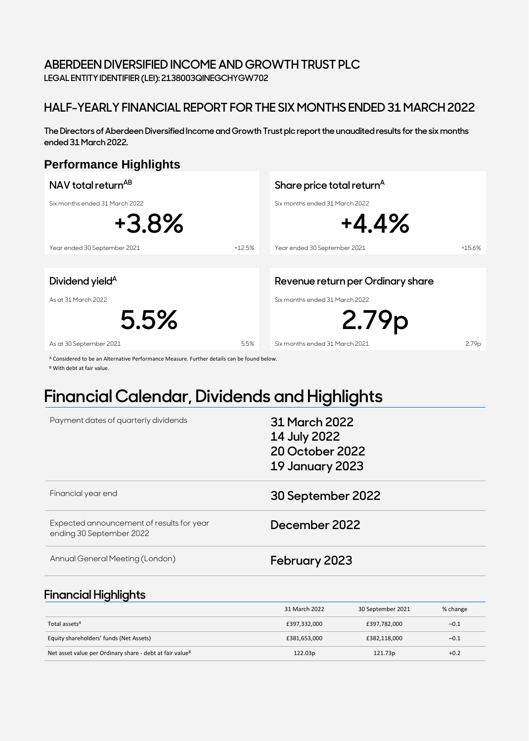## **ABERDEEN DIVERSIFIED INCOME AND GROWTH TRUST PLC**

**LEGAL ENTITY IDENTIFIER (LEI): 2138003QINEGCHYGW702**

## **HALF-YEARLY FINANCIAL REPORT FOR THE SIX MONTHS ENDED 31 MARCH 2022**

**The Directors of Aberdeen Diversified Income and Growth Trust plc report the unaudited results for the six months ended 31 March 2022.**

## **Performance Highlights**



<sup>A</sup> Considered to be an Alternative Performance Measure. Further details can be found below.

<sup>B</sup> With debt at fair value.

## **Financial Calendar, Dividends and Highlights**

| Payment dates of quarterly dividends                                  | <b>31 March 2022</b><br>14 July 2022<br>20 October 2022<br><b>19 January 2023</b> |
|-----------------------------------------------------------------------|-----------------------------------------------------------------------------------|
| Financial year end                                                    | 30 September 2022                                                                 |
| Expected announcement of results for year<br>ending 30 September 2022 | December 2022                                                                     |
| Annual General Meeting (London)                                       | February 2023                                                                     |

## **Financial Highlights**

|                                                                      | 31 March 2022 | 30 September 2021 | % change |
|----------------------------------------------------------------------|---------------|-------------------|----------|
| Total assets <sup>A</sup>                                            | £397,332,000  | £397,782,000      | $-0.1$   |
| Equity shareholders' funds (Net Assets)                              | £381,653,000  | £382,118,000      | $-0.1$   |
| Net asset value per Ordinary share - debt at fair value <sup>B</sup> | 122.03p       | 121.73p           | $+0.2$   |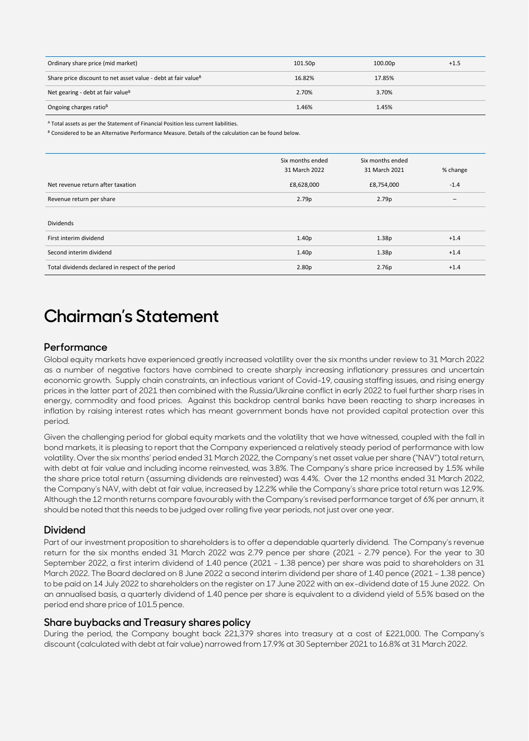| Ordinary share price (mid market)                                         | 101.50p | 100.00p | $+1.5$ |
|---------------------------------------------------------------------------|---------|---------|--------|
| Share price discount to net asset value - debt at fair value <sup>B</sup> | 16.82%  | 17.85%  |        |
| Net gearing - debt at fair value <sup>B</sup>                             | 2.70%   | 3.70%   |        |
| Ongoing charges ratio <sup>B</sup>                                        | 1.46%   | 1.45%   |        |

<sup>A</sup> Total assets as per the Statement of Financial Position less current liabilities.

B Considered to be an Alternative Performance Measure. Details of the calculation can be found below.

|                                                   | Six months ended  | Six months ended |                          |
|---------------------------------------------------|-------------------|------------------|--------------------------|
|                                                   | 31 March 2022     | 31 March 2021    | % change                 |
| Net revenue return after taxation                 | £8,628,000        | £8,754,000       | $-1.4$                   |
| Revenue return per share                          | 2.79p             | 2.79p            | $\overline{\phantom{0}}$ |
| <b>Dividends</b>                                  |                   |                  |                          |
| First interim dividend                            | 1.40 <sub>p</sub> | 1.38p            | $+1.4$                   |
| Second interim dividend                           | 1.40 <sub>p</sub> | 1.38p            | $+1.4$                   |
| Total dividends declared in respect of the period | 2.80 <sub>p</sub> | 2.76p            | $+1.4$                   |

## **Chairman's Statement**

#### **Performance**

Global equity markets have experienced greatly increased volatility over the six months under review to 31 March 2022 as a number of negative factors have combined to create sharply increasing inflationary pressures and uncertain economic growth. Supply chain constraints, an infectious variant of Covid-19, causing staffing issues, and rising energy prices in the latter part of 2021 then combined with the Russia/Ukraine conflict in early 2022 to fuel further sharp rises in energy, commodity and food prices. Against this backdrop central banks have been reacting to sharp increases in inflation by raising interest rates which has meant government bonds have not provided capital protection over this period.

Given the challenging period for global equity markets and the volatility that we have witnessed, coupled with the fall in bond markets, it is pleasing to report that the Company experienced a relatively steady period of performance with low volatility. Over the six months' period ended 31 March 2022, the Company's net asset value per share ("NAV") total return, with debt at fair value and including income reinvested, was 3.8%. The Company's share price increased by 1.5% while the share price total return (assuming dividends are reinvested) was 4.4%. Over the 12 months ended 31 March 2022, the Company's NAV, with debt at fair value, increased by 12.2% while the Company's share price total return was 12.9%. Although the 12 month returns compare favourably with the Company's revised performance target of 6% per annum, it should be noted that this needs to be judged over rolling five year periods, not just over one year.

#### **Dividend**

Part of our investment proposition to shareholders is to offer a dependable quarterly dividend. The Company's revenue return for the six months ended 31 March 2022 was 2.79 pence per share (2021 - 2.79 pence). For the year to 30 September 2022, a first interim dividend of 1.40 pence (2021 - 1.38 pence) per share was paid to shareholders on 31 March 2022. The Board declared on 8 June 2022 a second interim dividend per share of 1.40 pence (2021 - 1.38 pence) to be paid on 14 July 2022 to shareholders on the register on 17 June 2022 with an ex-dividend date of 15 June 2022. On an annualised basis, a quarterly dividend of 1.40 pence per share is equivalent to a dividend yield of 5.5% based on the period end share price of 101.5 pence.

#### **Share buybacks and Treasury shares policy**

During the period, the Company bought back 221,379 shares into treasury at a cost of £221,000. The Company's discount (calculated with debt at fair value) narrowed from 17.9% at 30 September 2021 to 16.8% at 31 March 2022.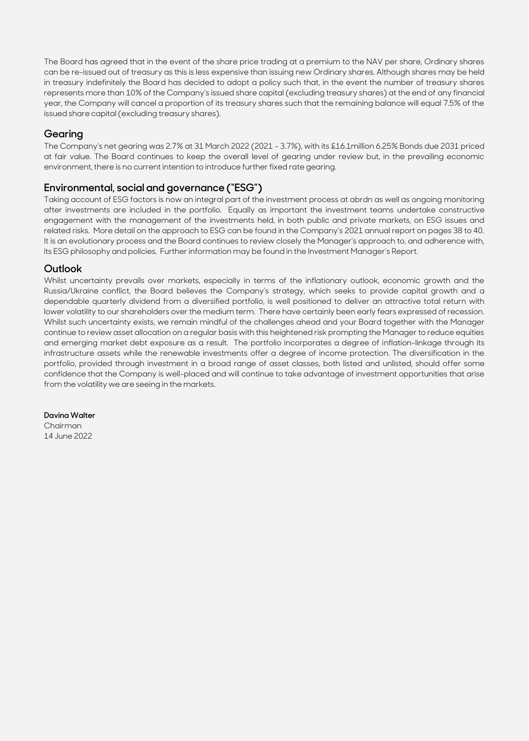The Board has agreed that in the event of the share price trading at a premium to the NAV per share, Ordinary shares can be re-issued out of treasury as this is less expensive than issuing new Ordinary shares. Although shares may be held in treasury indefinitely the Board has decided to adopt a policy such that, in the event the number of treasury shares represents more than 10% of the Company's issued share capital (excluding treasury shares) at the end of any financial year, the Company will cancel a proportion of its treasury shares such that the remaining balance will equal 7.5% of the issued share capital (excluding treasury shares).

### **Gearing**

The Company's net gearing was 2.7% at 31 March 2022 (2021 - 3.7%), with its £16.1million 6.25% Bonds due 2031 priced at fair value. The Board continues to keep the overall level of gearing under review but, in the prevailing economic environment, there is no current intention to introduce further fixed rate gearing.

### **Environmental, social and governance ("ESG")**

Taking account of ESG factors is now an integral part of the investment process at abrdn as well as ongoing monitoring after investments are included in the portfolio. Equally as important the investment teams undertake constructive engagement with the management of the investments held, in both public and private markets, on ESG issues and related risks. More detail on the approach to ESG can be found in the Company's 2021 annual report on pages 38 to 40. It is an evolutionary process and the Board continues to review closely the Manager's approach to, and adherence with, its ESG philosophy and policies. Further information may be found in the Investment Manager's Report.

### **Outlook**

Whilst uncertainty prevails over markets, especially in terms of the inflationary outlook, economic growth and the Russia/Ukraine conflict, the Board believes the Company's strategy, which seeks to provide capital growth and a dependable quarterly dividend from a diversified portfolio, is well positioned to deliver an attractive total return with lower volatility to our shareholders over the medium term. There have certainly been early fears expressed of recession. Whilst such uncertainty exists, we remain mindful of the challenges ahead and your Board together with the Manager continue to review asset allocation on a regular basis with this heightened risk prompting the Manager to reduce equities and emerging market debt exposure as a result. The portfolio incorporates a degree of inflation-linkage through its infrastructure assets while the renewable investments offer a degree of income protection. The diversification in the portfolio, provided through investment in a broad range of asset classes, both listed and unlisted, should offer some confidence that the Company is well-placed and will continue to take advantage of investment opportunities that arise from the volatility we are seeing in the markets.

### **Davina Walter**

Chairman 14 June 2022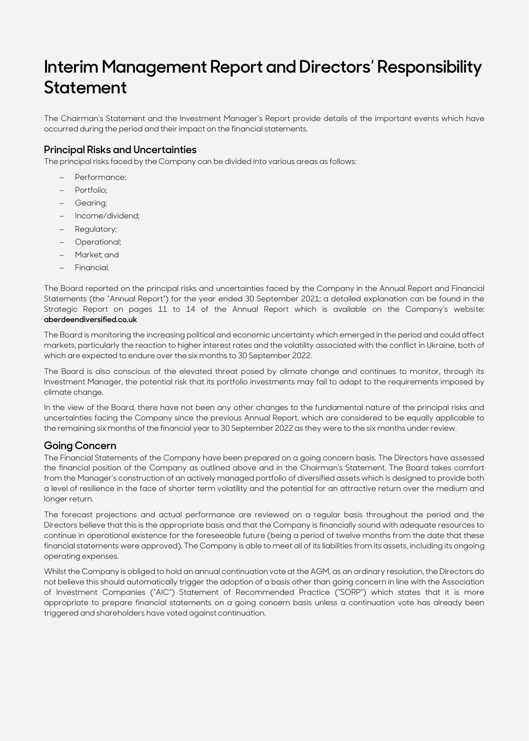## **Interim Management Report and Directors' Responsibility Statement**

The Chairman's Statement and the Investment Manager's Report provide details of the important events which have occurred during the period and their impact on the financial statements.

### **Principal Risks and Uncertainties**

The principal risks faced by the Company can be divided into various areas as follows:

- − Performance;
- Portfolio;
- − Gearing;
- − Income/dividend;
- Regulatory;
- − Operational;
- − Market; and
- − Financial.

The Board reported on the principal risks and uncertainties faced by the Company in the Annual Report and Financial Statements (the "Annual Report") for the year ended 30 September 2021; a detailed explanation can be found in the Strategic Report on pages 11 to 14 of the Annual Report which is available on the Company's website: **aberdeendiversified.co.uk**

The Board is monitoring the increasing political and economic uncertainty which emerged in the period and could affect markets, particularly the reaction to higher interest rates and the volatility associated with the conflict in Ukraine, both of which are expected to endure over the six months to 30 September 2022.

The Board is also conscious of the elevated threat posed by climate change and continues to monitor, through its Investment Manager, the potential risk that its portfolio investments may fail to adapt to the requirements imposed by climate change.

In the view of the Board, there have not been any other changes to the fundamental nature of the principal risks and uncertainties facing the Company since the previous Annual Report, which are considered to be equally applicable to the remaining six months of the financial year to 30 September 2022 as they were to the six months under review.

### **Going Concern**

The Financial Statements of the Company have been prepared on a going concern basis. The Directors have assessed the financial position of the Company as outlined above and in the Chairman's Statement. The Board takes comfort from the Manager's construction of an actively managed portfolio of diversified assets which is designed to provide both a level of resilience in the face of shorter term volatility and the potential for an attractive return over the medium and longer return.

The forecast projections and actual performance are reviewed on a regular basis throughout the period and the Directors believe that this is the appropriate basis and that the Company is financially sound with adequate resources to continue in operational existence for the foreseeable future (being a period of twelve months from the date that these financial statements were approved). The Company is able to meet all of its liabilities from its assets, including its ongoing operating expenses.

Whilst the Company is obliged to hold an annual continuation vote at the AGM, as an ordinary resolution, the Directors do not believe this should automatically trigger the adoption of a basis other than going concern in line with the Association of Investment Companies ("AIC") Statement of Recommended Practice ("SORP") which states that it is more appropriate to prepare financial statements on a going concern basis unless a continuation vote has already been triggered and shareholders have voted against continuation.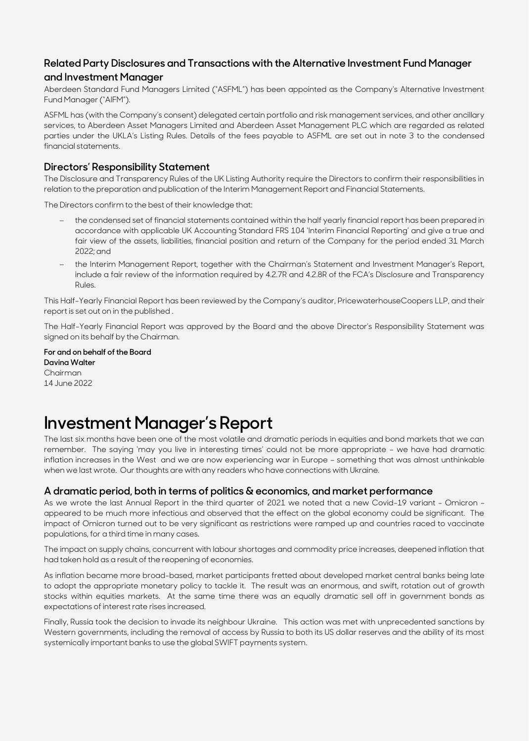### **Related Party Disclosures and Transactions with the Alternative Investment Fund Manager and Investment Manager**

Aberdeen Standard Fund Managers Limited ("ASFML") has been appointed as the Company's Alternative Investment Fund Manager ("AIFM").

ASFML has (with the Company's consent) delegated certain portfolio and risk management services, and other ancillary services, to Aberdeen Asset Managers Limited and Aberdeen Asset Management PLC which are regarded as related parties under the UKLA's Listing Rules. Details of the fees payable to ASFML are set out in note 3 to the condensed financial statements.

### **Directors' Responsibility Statement**

The Disclosure and Transparency Rules of the UK Listing Authority require the Directors to confirm their responsibilities in relation to the preparation and publication of the Interim Management Report and Financial Statements.

The Directors confirm to the best of their knowledge that:

- the condensed set of financial statements contained within the half yearly financial report has been prepared in accordance with applicable UK Accounting Standard FRS 104 'Interim Financial Reporting' and give a true and fair view of the assets, liabilities, financial position and return of the Company for the period ended 31 March 2022; and
- − the Interim Management Report, together with the Chairman's Statement and Investment Manager's Report, include a fair review of the information required by 4.2.7R and 4.2.8R of the FCA's Disclosure and Transparency Rules.

This Half-Yearly Financial Report has been reviewed by the Company's auditor, PricewaterhouseCoopers LLP, and their report is set out on in the published .

The Half-Yearly Financial Report was approved by the Board and the above Director's Responsibility Statement was signed on its behalf by the Chairman.

**For and on behalf of the Board Davina Walter** Chairman 14 June 2022

## **Investment Manager's Report**

The last six months have been one of the most volatile and dramatic periods in equities and bond markets that we can remember. The saying 'may you live in interesting times' could not be more appropriate – we have had dramatic inflation increases in the West and we are now experiencing war in Europe – something that was almost unthinkable when we last wrote. Our thoughts are with any readers who have connections with Ukraine.

#### **A dramatic period, both in terms of politics & economics, and market performance**

As we wrote the last Annual Report in the third quarter of 2021 we noted that a new Covid-19 variant - Omicron – appeared to be much more infectious and observed that the effect on the global economy could be significant. The impact of Omicron turned out to be very significant as restrictions were ramped up and countries raced to vaccinate populations, for a third time in many cases.

The impact on supply chains, concurrent with labour shortages and commodity price increases, deepened inflation that had taken hold as a result of the reopening of economies.

As inflation became more broad-based, market participants fretted about developed market central banks being late to adopt the appropriate monetary policy to tackle it. The result was an enormous, and swift, rotation out of growth stocks within equities markets. At the same time there was an equally dramatic sell off in government bonds as expectations of interest rate rises increased.

Finally, Russia took the decision to invade its neighbour Ukraine. This action was met with unprecedented sanctions by Western governments, including the removal of access by Russia to both its US dollar reserves and the ability of its most systemically important banks to use the global SWIFT payments system.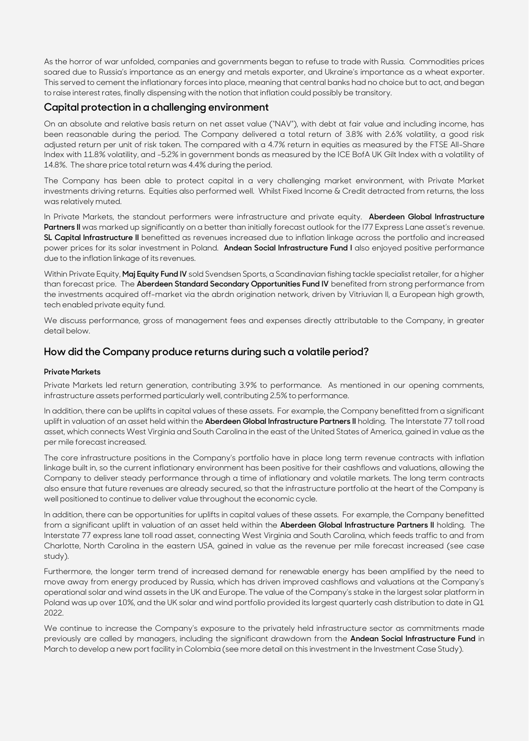As the horror of war unfolded, companies and governments began to refuse to trade with Russia. Commodities prices soared due to Russia's importance as an energy and metals exporter, and Ukraine's importance as a wheat exporter. This served to cement the inflationary forces into place, meaning that central banks had no choice but to act, and began to raise interest rates, finally dispensing with the notion that inflation could possibly be transitory.

### **Capital protection in a challenging environment**

On an absolute and relative basis return on net asset value ("NAV"), with debt at fair value and including income, has been reasonable during the period. The Company delivered a total return of 3.8% with 2.6% volatility, a good risk adjusted return per unit of risk taken. The compared with a 4.7% return in equities as measured by the FTSE All-Share Index with 11.8% volatility, and -5.2% in government bonds as measured by the ICE BofA UK Gilt Index with a volatility of 14.8%. The share price total return was 4.4% during the period.

The Company has been able to protect capital in a very challenging market environment, with Private Market investments driving returns. Equities also performed well. Whilst Fixed Income & Credit detracted from returns, the loss was relatively muted.

In Private Markets, the standout performers were infrastructure and private equity. **Aberdeen Global Infrastructure**  Partners II was marked up significantly on a better than initially forecast outlook for the I77 Express Lane asset's revenue. **SL Capital Infrastructure II** benefitted as revenues increased due to inflation linkage across the portfolio and increased power prices for its solar investment in Poland. **Andean Social Infrastructure Fund I** also enjoyed positive performance due to the inflation linkage of its revenues.

Within Private Equity, **Maj Equity Fund IV** sold Svendsen Sports, a Scandinavian fishing tackle specialist retailer, for a higher than forecast price. The **Aberdeen Standard Secondary Opportunities Fund IV** benefited from strong performance from the investments acquired off-market via the abrdn origination network, driven by Vitriuvian II, a European high growth, tech enabled private equity fund.

We discuss performance, gross of management fees and expenses directly attributable to the Company, in greater detail below.

### **How did the Company produce returns during such a volatile period?**

#### **Private Markets**

Private Markets led return generation, contributing 3.9% to performance. As mentioned in our opening comments, infrastructure assets performed particularly well, contributing 2.5% to performance.

In addition, there can be uplifts in capital values of these assets. For example, the Company benefitted from a significant uplift in valuation of an asset held within the **Aberdeen Global Infrastructure Partners II** holding. The Interstate 77 toll road asset, which connects West Virginia and South Carolina in the east of the United States of America, gained in value as the per mile forecast increased.

The core infrastructure positions in the Company's portfolio have in place long term revenue contracts with inflation linkage built in, so the current inflationary environment has been positive for their cashflows and valuations, allowing the Company to deliver steady performance through a time of inflationary and volatile markets. The long term contracts also ensure that future revenues are already secured, so that the infrastructure portfolio at the heart of the Company is well positioned to continue to deliver value throughout the economic cycle.

In addition, there can be opportunities for uplifts in capital values of these assets. For example, the Company benefitted from a significant uplift in valuation of an asset held within the **Aberdeen Global Infrastructure Partners II** holding. The Interstate 77 express lane toll road asset, connecting West Virginia and South Carolina, which feeds traffic to and from Charlotte, North Carolina in the eastern USA, gained in value as the revenue per mile forecast increased (see case study).

Furthermore, the longer term trend of increased demand for renewable energy has been amplified by the need to move away from energy produced by Russia, which has driven improved cashflows and valuations at the Company's operational solar and wind assets in the UK and Europe. The value of the Company's stake in the largest solar platform in Poland was up over 10%, and the UK solar and wind portfolio provided its largest quarterly cash distribution to date in Q1 2022.

We continue to increase the Company's exposure to the privately held infrastructure sector as commitments made previously are called by managers, including the significant drawdown from the **Andean Social Infrastructure Fund** in March to develop a new port facility in Colombia (see more detail on this investment in the Investment Case Study).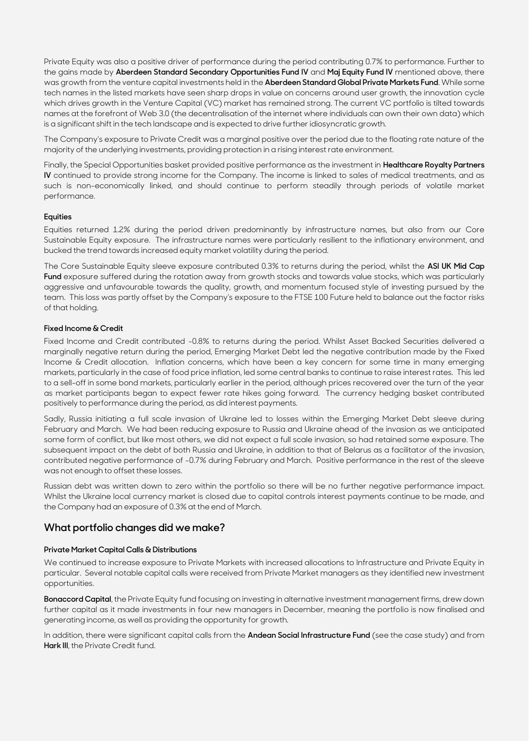Private Equity was also a positive driver of performance during the period contributing 0.7% to performance. Further to the gains made by **Aberdeen Standard Secondary Opportunities Fund IV** and **Maj Equity Fund IV** mentioned above, there was growth from the venture capital investments held in the **Aberdeen Standard Global Private Markets Fund**. While some tech names in the listed markets have seen sharp drops in value on concerns around user growth, the innovation cycle which drives growth in the Venture Capital (VC) market has remained strong. The current VC portfolio is tilted towards names at the forefront of Web 3.0 (the decentralisation of the internet where individuals can own their own data) which is a significant shift in the tech landscape and is expected to drive further idiosyncratic growth.

The Company's exposure to Private Credit was a marginal positive over the period due to the floating rate nature of the majority of the underlying investments, providing protection in a rising interest rate environment.

Finally, the Special Opportunities basket provided positive performance as the investment in **Healthcare Royalty Partners IV** continued to provide strong income for the Company. The income is linked to sales of medical treatments, and as such is non-economically linked, and should continue to perform steadily through periods of volatile market performance.

#### **Equities**

Equities returned 1.2% during the period driven predominantly by infrastructure names, but also from our Core Sustainable Equity exposure. The infrastructure names were particularly resilient to the inflationary environment, and bucked the trend towards increased equity market volatility during the period.

The Core Sustainable Equity sleeve exposure contributed 0.3% to returns during the period, whilst the **ASI UK Mid Cap Fund** exposure suffered during the rotation away from growth stocks and towards value stocks, which was particularly aggressive and unfavourable towards the quality, growth, and momentum focused style of investing pursued by the team. This loss was partly offset by the Company's exposure to the FTSE 100 Future held to balance out the factor risks of that holding.

#### **Fixed Income & Credit**

Fixed Income and Credit contributed -0.8% to returns during the period. Whilst Asset Backed Securities delivered a marginally negative return during the period, Emerging Market Debt led the negative contribution made by the Fixed Income & Credit allocation. Inflation concerns, which have been a key concern for some time in many emerging markets, particularly in the case of food price inflation, led some central banks to continue to raise interest rates. This led to a sell-off in some bond markets, particularly earlier in the period, although prices recovered over the turn of the year as market participants began to expect fewer rate hikes going forward. The currency hedging basket contributed positively to performance during the period, as did interest payments.

Sadly, Russia initiating a full scale invasion of Ukraine led to losses within the Emerging Market Debt sleeve during February and March. We had been reducing exposure to Russia and Ukraine ahead of the invasion as we anticipated some form of conflict, but like most others, we did not expect a full scale invasion, so had retained some exposure. The subsequent impact on the debt of both Russia and Ukraine, in addition to that of Belarus as a facilitator of the invasion, contributed negative performance of -0.7% during February and March. Positive performance in the rest of the sleeve was not enough to offset these losses.

Russian debt was written down to zero within the portfolio so there will be no further negative performance impact. Whilst the Ukraine local currency market is closed due to capital controls interest payments continue to be made, and the Company had an exposure of 0.3% at the end of March.

### **What portfolio changes did we make?**

#### **Private Market Capital Calls & Distributions**

We continued to increase exposure to Private Markets with increased allocations to Infrastructure and Private Equity in particular. Several notable capital calls were received from Private Market managers as they identified new investment opportunities.

**Bonaccord Capital**, the Private Equity fund focusing on investing in alternative investment management firms, drew down further capital as it made investments in four new managers in December, meaning the portfolio is now finalised and generating income, as well as providing the opportunity for growth.

In addition, there were significant capital calls from the **Andean Social Infrastructure Fund** (see the case study) and from **Hark III**, the Private Credit fund.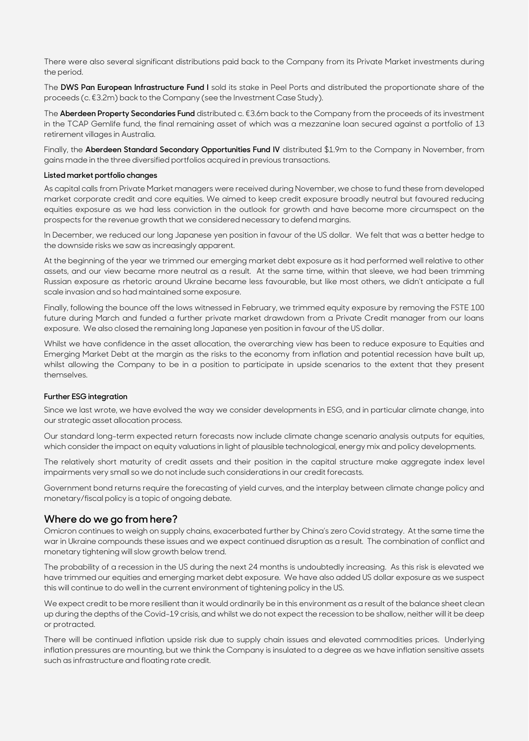There were also several significant distributions paid back to the Company from its Private Market investments during the period.

The **DWS Pan European Infrastructure Fund I** sold its stake in Peel Ports and distributed the proportionate share of the proceeds (c. €3.2m) back to the Company (see the Investment Case Study).

The **Aberdeen Property Secondaries Fund** distributed c. €3.6m back to the Company from the proceeds of its investment in the TCAP Gemlife fund, the final remaining asset of which was a mezzanine loan secured against a portfolio of 13 retirement villages in Australia.

Finally, the **Aberdeen Standard Secondary Opportunities Fund IV** distributed \$1.9m to the Company in November, from gains made in the three diversified portfolios acquired in previous transactions.

#### **Listed market portfolio changes**

As capital calls from Private Market managers were received during November, we chose to fund these from developed market corporate credit and core equities. We aimed to keep credit exposure broadly neutral but favoured reducing equities exposure as we had less conviction in the outlook for growth and have become more circumspect on the prospects for the revenue growth that we considered necessary to defend margins.

In December, we reduced our long Japanese yen position in favour of the US dollar. We felt that was a better hedge to the downside risks we saw as increasingly apparent.

At the beginning of the year we trimmed our emerging market debt exposure as it had performed well relative to other assets, and our view became more neutral as a result. At the same time, within that sleeve, we had been trimming Russian exposure as rhetoric around Ukraine became less favourable, but like most others, we didn't anticipate a full scale invasion and so had maintained some exposure.

Finally, following the bounce off the lows witnessed in February, we trimmed equity exposure by removing the FSTE 100 future during March and funded a further private market drawdown from a Private Credit manager from our loans exposure. We also closed the remaining long Japanese yen position in favour of the US dollar.

Whilst we have confidence in the asset allocation, the overarching view has been to reduce exposure to Equities and Emerging Market Debt at the margin as the risks to the economy from inflation and potential recession have built up, whilst allowing the Company to be in a position to participate in upside scenarios to the extent that they present themselves.

#### **Further ESG integration**

Since we last wrote, we have evolved the way we consider developments in ESG, and in particular climate change, into our strategic asset allocation process.

Our standard long-term expected return forecasts now include climate change scenario analysis outputs for equities, which consider the impact on equity valuations in light of plausible technological, energy mix and policy developments.

The relatively short maturity of credit assets and their position in the capital structure make aggregate index level impairments very small so we do not include such considerations in our credit forecasts.

Government bond returns require the forecasting of yield curves, and the interplay between climate change policy and monetary/fiscal policy is a topic of ongoing debate.

### **Where do we go from here?**

Omicron continues to weigh on supply chains, exacerbated further by China's zero Covid strategy. At the same time the war in Ukraine compounds these issues and we expect continued disruption as a result. The combination of conflict and monetary tightening will slow growth below trend.

The probability of a recession in the US during the next 24 months is undoubtedly increasing. As this risk is elevated we have trimmed our equities and emerging market debt exposure. We have also added US dollar exposure as we suspect this will continue to do well in the current environment of tightening policy in the US.

We expect credit to be more resilient than it would ordinarily be in this environment as a result of the balance sheet clean up during the depths of the Covid-19 crisis, and whilst we do not expect the recession to be shallow, neither will it be deep or protracted.

There will be continued inflation upside risk due to supply chain issues and elevated commodities prices. Underlying inflation pressures are mounting, but we think the Company is insulated to a degree as we have inflation sensitive assets such as infrastructure and floating rate credit.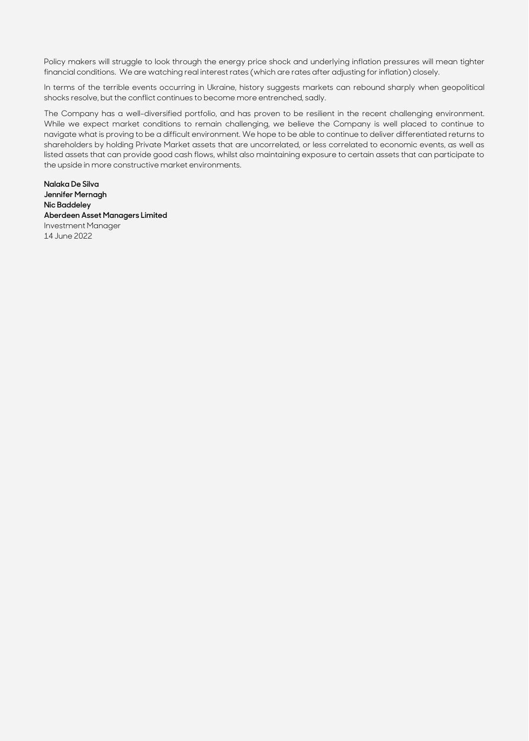Policy makers will struggle to look through the energy price shock and underlying inflation pressures will mean tighter financial conditions. We are watching real interest rates (which are rates after adjusting for inflation) closely.

In terms of the terrible events occurring in Ukraine, history suggests markets can rebound sharply when geopolitical shocks resolve, but the conflict continues to become more entrenched, sadly.

The Company has a well-diversified portfolio, and has proven to be resilient in the recent challenging environment. While we expect market conditions to remain challenging, we believe the Company is well placed to continue to navigate what is proving to be a difficult environment. We hope to be able to continue to deliver differentiated returns to shareholders by holding Private Market assets that are uncorrelated, or less correlated to economic events, as well as listed assets that can provide good cash flows, whilst also maintaining exposure to certain assets that can participate to the upside in more constructive market environments.

**Nalaka De Silva Jennifer Mernagh Nic Baddeley Aberdeen Asset Managers Limited** Investment Manager 14 June 2022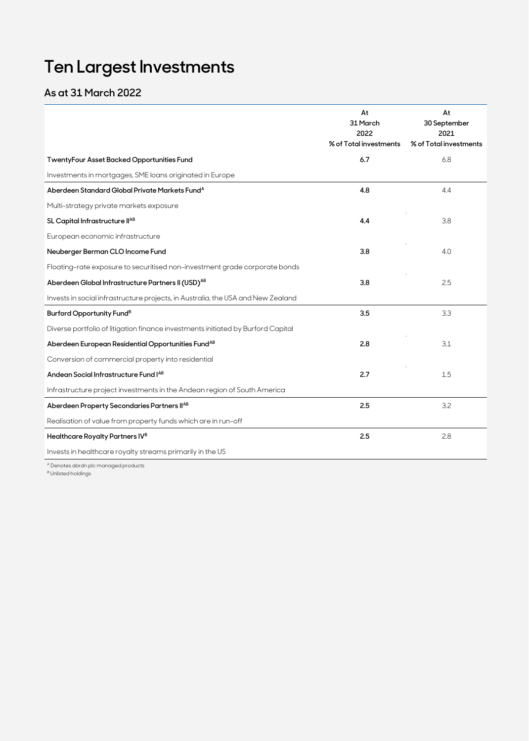# **Ten Largest Investments**

## **As at 31 March 2022**

|                                                                                  | At<br>31 March         | At<br>30 September     |
|----------------------------------------------------------------------------------|------------------------|------------------------|
|                                                                                  | 2022                   | 2021                   |
|                                                                                  | % of Total investments | % of Total investments |
| TwentyFour Asset Backed Opportunities Fund                                       | 6.7                    | 6.8                    |
| Investments in mortgages, SME Ioans originated in Europe                         |                        |                        |
| Aberdeen Standard Global Private Markets Fund <sup>A</sup>                       | 4.8                    | 4.4                    |
| Multi-strategy private markets exposure                                          |                        |                        |
| SL Capital Infrastructure IIAB                                                   | 4.4                    | 3.8                    |
| European economic infrastructure                                                 |                        |                        |
| Neuberger Berman CLO Income Fund                                                 | 3.8                    | 4.0                    |
| Floating-rate exposure to securitised non-investment grade corporate bonds       |                        |                        |
| Aberdeen Global Infrastructure Partners II (USD) <sup>AB</sup>                   | 3.8                    | 2.5                    |
| Invests in social infrastructure projects, in Australia, the USA and New Zealand |                        |                        |
| Burford Opportunity Fund <sup>B</sup>                                            | 3.5                    | 3.3                    |
| Diverse portfolio of litigation finance investments initiated by Burford Capital |                        |                        |
| Aberdeen European Residential Opportunities Fund <sup>AB</sup>                   | 2.8                    | 3.1                    |
| Conversion of commercial property into residential                               |                        |                        |
| Andean Social Infrastructure Fund IAB                                            | 2.7                    | 1.5                    |
| Infrastructure project investments in the Andean region of South America         |                        |                        |
| Aberdeen Property Secondaries Partners IIAB                                      | 2.5                    | 3.2                    |
| Realisation of value from property funds which are in run-off                    |                        |                        |
| Healthcare Royalty Partners IVB                                                  | 2.5                    | 2.8                    |
| Invests in healthcare royalty streams primarily in the US                        |                        |                        |

<sup>A</sup> Denotes abrdn plc managed products

<sup>B</sup> Unlisted holdings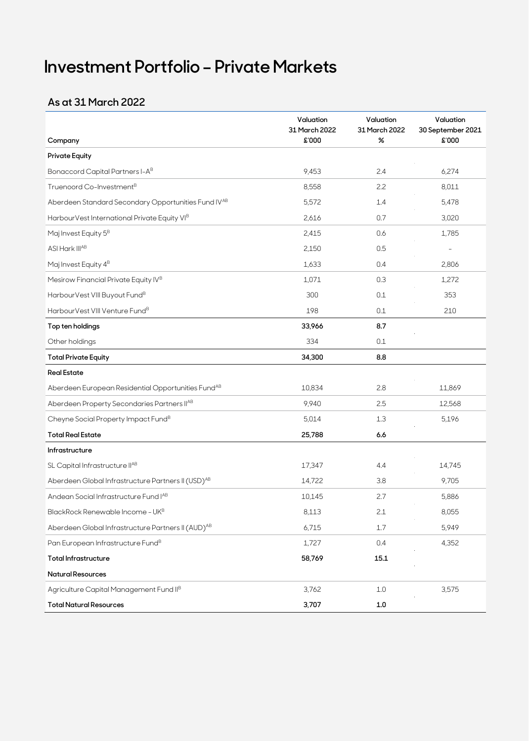# **Investment Portfolio – Private Markets**

## **As at 31 March 2022**

|                                                                 | Valuation<br>31 March 2022 | Valuation<br>31 March 2022 | Valuation<br>30 September 2021 |
|-----------------------------------------------------------------|----------------------------|----------------------------|--------------------------------|
| Company                                                         | £'000                      | %                          | £'000                          |
| <b>Private Equity</b>                                           |                            |                            |                                |
| Bonaccord Capital Partners I-A <sup>B</sup>                     | 9,453                      | 2.4                        | 6,274                          |
| Truenoord Co-Investment <sup>B</sup>                            | 8,558                      | 2.2                        | 8,011                          |
| Aberdeen Standard Secondary Opportunities Fund IV <sup>AB</sup> | 5,572                      | 1.4                        | 5,478                          |
| Harbour Vest International Private Equity VIB                   | 2,616                      | 0.7                        | 3,020                          |
| Maj Invest Equity 5 <sup>B</sup>                                | 2,415                      | 0.6                        | 1,785                          |
| ASI Hark III <sup>AB</sup>                                      | 2,150                      | 0.5                        |                                |
| Maj Invest Equity 4 <sup>B</sup>                                | 1,633                      | 0.4                        | 2,806                          |
| Mesirow Financial Private Equity IV <sup>B</sup>                | 1,071                      | 0.3                        | 1,272                          |
| HarbourVest VIII Buyout Fund <sup>B</sup>                       | 300                        | 0.1                        | 353                            |
| HarbourVest VIII Venture Fund <sup>B</sup>                      | 198                        | 0.1                        | 210                            |
| Top ten holdings                                                | 33,966                     | 8.7                        |                                |
| Other holdings                                                  | 334                        | 0.1                        |                                |
| <b>Total Private Equity</b>                                     | 34,300                     | 8.8                        |                                |
| <b>Real Estate</b>                                              |                            |                            |                                |
| Aberdeen European Residential Opportunities Fund <sup>AB</sup>  | 10,834                     | 2.8                        | 11,869                         |
| Aberdeen Property Secondaries Partners IIAB                     | 9,940                      | 2.5                        | 12,568                         |
| Cheyne Social Property Impact Fund <sup>B</sup>                 | 5,014                      | 1.3                        | 5,196                          |
| <b>Total Real Estate</b>                                        | 25,788                     | 6.6                        |                                |
| Infrastructure                                                  |                            |                            |                                |
| SL Capital Infrastructure IIAB                                  | 17,347                     | 4.4                        | 14,745                         |
| Aberdeen Global Infrastructure Partners II (USD) <sup>AB</sup>  | 14,722                     | 3.8                        | 9,705                          |
| Andean Social Infrastructure Fund IAB                           | 10,145                     | 2.7                        | 5,886                          |
| BlackRock Renewable Income - UKB                                | 8,113                      | 2.1                        | 8,055                          |
| Aberdeen Global Infrastructure Partners II (AUD) <sup>AB</sup>  | 6,715                      | 1.7                        | 5,949                          |
| Pan European Infrastructure Fund <sup>B</sup>                   | 1,727                      | 0.4                        | 4,352                          |
| <b>Total Infrastructure</b>                                     | 58,769                     | 15.1                       |                                |
| <b>Natural Resources</b>                                        |                            |                            |                                |
| Agriculture Capital Management Fund IIB                         | 3,762                      | 1.0                        | 3,575                          |
| <b>Total Natural Resources</b>                                  | 3,707                      | $1.0\,$                    |                                |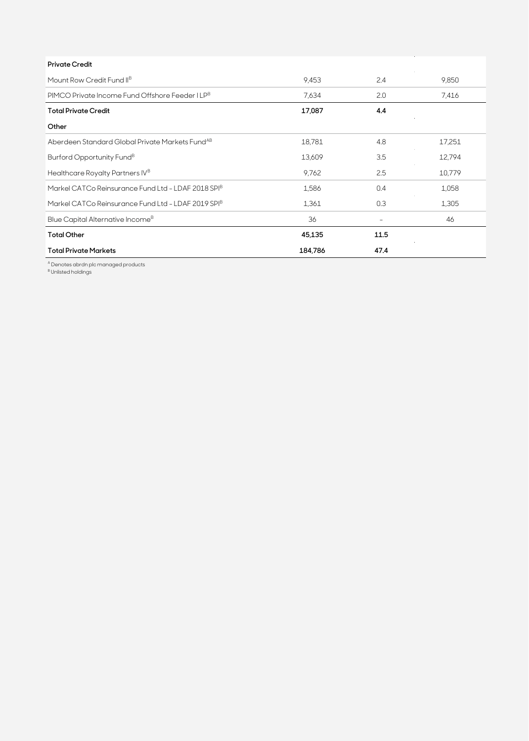| <b>Private Credit</b>                                       |         |      |        |
|-------------------------------------------------------------|---------|------|--------|
| Mount Row Credit Fund II <sup>B</sup>                       | 9,453   | 2.4  | 9,850  |
| PIMCO Private Income Fund Offshore Feeder I LPB             | 7,634   | 2.0  | 7,416  |
| <b>Total Private Credit</b>                                 | 17,087  | 4.4  |        |
| Other                                                       |         |      |        |
| Aberdeen Standard Global Private Markets Fund <sup>AB</sup> | 18,781  | 4.8  | 17,251 |
| Burford Opportunity Fund <sup>B</sup>                       | 13,609  | 3.5  | 12,794 |
| Healthcare Royalty Partners IV <sup>B</sup>                 | 9,762   | 2.5  | 10,779 |
| Markel CATCo Reinsurance Fund Ltd - LDAF 2018 SPIB          | 1,586   | 0.4  | 1,058  |
| Markel CATCo Reinsurance Fund Ltd - LDAF 2019 SPIB          | 1,361   | 0.3  | 1,305  |
| Blue Capital Alternative Income <sup>B</sup>                | 36      |      | 46     |
| <b>Total Other</b>                                          | 45,135  | 11.5 |        |
| <b>Total Private Markets</b>                                | 184,786 | 47.4 |        |

<sup>A</sup> Denotes abrdn plc managed products

<sup>B</sup> Unlisted holdings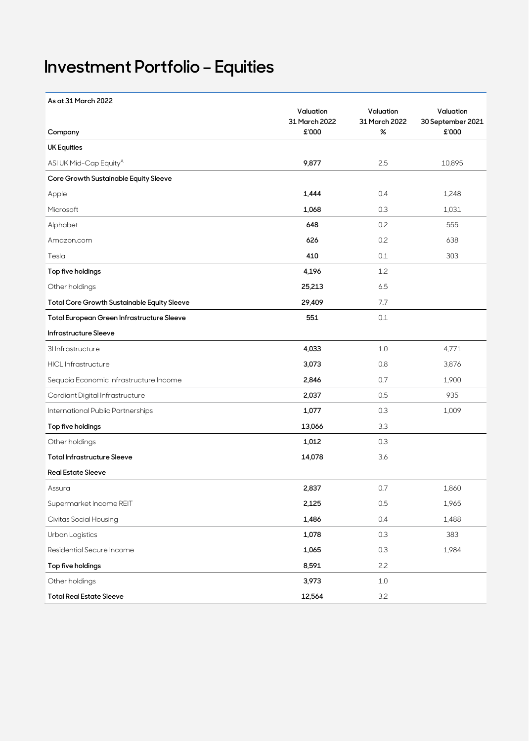# **Investment Portfolio – Equities**

**As at 31 March 2022**

|                                                    | Valuation<br>31 March 2022 | Valuation<br>31 March 2022 | Valuation<br>30 September 2021 |
|----------------------------------------------------|----------------------------|----------------------------|--------------------------------|
| Company                                            | £'000                      | $\%$                       | £'000                          |
| <b>UK Equities</b>                                 |                            |                            |                                |
| ASI UK Mid-Cap Equity <sup>A</sup>                 | 9,877                      | 2.5                        | 10,895                         |
| Core Growth Sustainable Equity Sleeve              |                            |                            |                                |
| Apple                                              | 1,444                      | 0.4                        | 1,248                          |
| Microsoft                                          | 1,068                      | 0.3                        | 1,031                          |
| Alphabet                                           | 648                        | 0.2                        | 555                            |
| Amazon.com                                         | 626                        | 0.2                        | 638                            |
| Tesla                                              | 410                        | 0.1                        | 303                            |
| Top five holdings                                  | 4,196                      | 1.2                        |                                |
| Other holdings                                     | 25,213                     | 6.5                        |                                |
| <b>Total Core Growth Sustainable Equity Sleeve</b> | 29,409                     | 7.7                        |                                |
| Total European Green Infrastructure Sleeve         | 551                        | 0.1                        |                                |
| Infrastructure Sleeve                              |                            |                            |                                |
| 31 Infrastructure                                  | 4,033                      | 1.0                        | 4,771                          |
| <b>HICL Infrastructure</b>                         | 3,073                      | 0.8                        | 3,876                          |
| Sequoia Economic Infrastructure Income             | 2,846                      | 0.7                        | 1,900                          |
| Cordiant Digital Infrastructure                    | 2,037                      | 0.5                        | 935                            |
| International Public Partnerships                  | 1,077                      | 0.3                        | 1,009                          |
| Top five holdings                                  | 13,066                     | 3.3                        |                                |
| Other holdings                                     | 1,012                      | 0.3                        |                                |
| <b>Total Infrastructure Sleeve</b>                 | 14,078                     | 3.6                        |                                |
| <b>Real Estate Sleeve</b>                          |                            |                            |                                |
| Assura                                             | 2,837                      | 0.7                        | 1,860                          |
| Supermarket Income REIT                            | 2,125                      | 0.5                        | 1,965                          |
| Civitas Social Housing                             | 1,486                      | 0.4                        | 1,488                          |
| Urban Logistics                                    | 1,078                      | 0.3                        | 383                            |
| Residential Secure Income                          | 1,065                      | 0.3                        | 1,984                          |
| Top five holdings                                  | 8,591                      | 2.2                        |                                |
| Other holdings                                     | 3,973                      | 1.0                        |                                |
| <b>Total Real Estate Sleeve</b>                    | 12,564                     | 3.2                        |                                |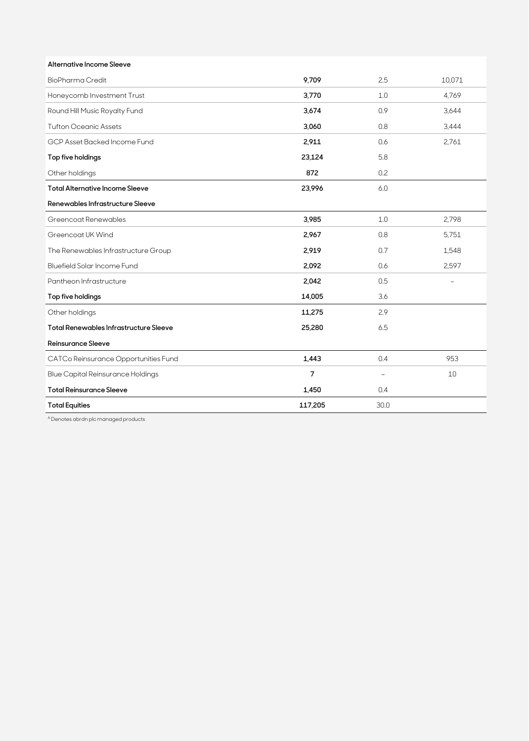| Alternative Income Sleeve                     |         |      |        |
|-----------------------------------------------|---------|------|--------|
| BioPharma Credit                              | 9,709   | 2.5  | 10,071 |
| Honeycomb Investment Trust                    | 3,770   | 1.0  | 4,769  |
| Round Hill Music Royalty Fund                 | 3,674   | 0.9  | 3,644  |
| <b>Tufton Oceanic Assets</b>                  | 3,060   | 0.8  | 3,444  |
| GCP Asset Backed Income Fund                  | 2,911   | 0.6  | 2,761  |
| Top five holdings                             | 23,124  | 5.8  |        |
| Other holdings                                | 872     | 0.2  |        |
| <b>Total Alternative Income Sleeve</b>        | 23,996  | 6.0  |        |
| Renewables Infrastructure Sleeve              |         |      |        |
| Greencoat Renewables                          | 3,985   | 1.0  | 2,798  |
| Greencoat UK Wind                             | 2,967   | 0.8  | 5,751  |
| The Renewables Infrastructure Group           | 2,919   | 0.7  | 1,548  |
| <b>Bluefield Solar Income Fund</b>            | 2,092   | 0.6  | 2,597  |
| Pantheon Infrastructure                       | 2,042   | 0.5  |        |
| Top five holdings                             | 14,005  | 3.6  |        |
| Other holdings                                | 11,275  | 2.9  |        |
| <b>Total Renewables Infrastructure Sleeve</b> | 25,280  | 6.5  |        |
| <b>Reinsurance Sleeve</b>                     |         |      |        |
| CATCo Reinsurance Opportunities Fund          | 1,443   | 0.4  | 953    |
| <b>Blue Capital Reinsurance Holdings</b>      | 7       |      | 10     |
| <b>Total Reinsurance Sleeve</b>               | 1,450   | 0.4  |        |
| <b>Total Equities</b>                         | 117,205 | 30.0 |        |

<sup>A</sup> Denotes abrdn plc managed products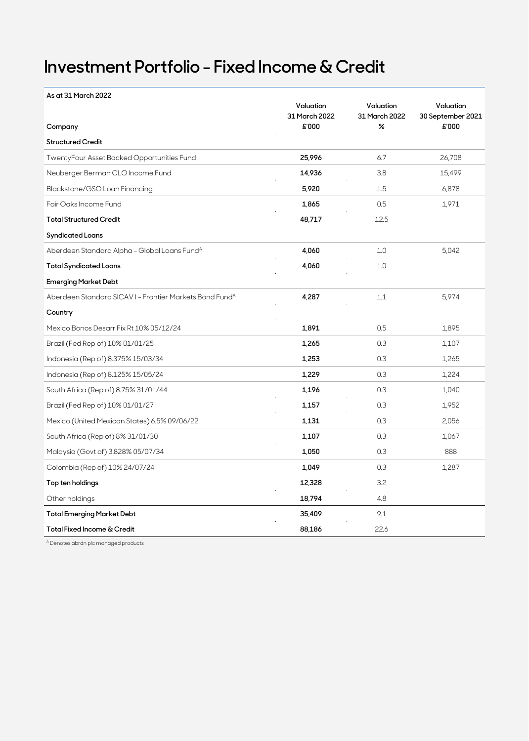## **Investment Portfolio - Fixed Income & Credit**

| As at 31 March 2022                                                 |                            |                            |                                |
|---------------------------------------------------------------------|----------------------------|----------------------------|--------------------------------|
|                                                                     | Valuation<br>31 March 2022 | Valuation<br>31 March 2022 | Valuation<br>30 September 2021 |
| Company                                                             | £'000                      | %                          | £'000                          |
| <b>Structured Credit</b>                                            |                            |                            |                                |
| TwentyFour Asset Backed Opportunities Fund                          | 25,996                     | 6.7                        | 26,708                         |
| Neuberger Berman CLO Income Fund                                    | 14,936                     | 3.8                        | 15,499                         |
| Blackstone/GSO Loan Financing                                       | 5,920                      | 1.5                        | 6,878                          |
| Fair Oaks Income Fund                                               | 1,865                      | 0.5                        | 1,971                          |
| <b>Total Structured Credit</b>                                      | 48,717                     | 12.5                       |                                |
| <b>Syndicated Loans</b>                                             |                            |                            |                                |
| Aberdeen Standard Alpha - Global Loans Fund <sup>A</sup>            | 4,060                      | 1.0                        | 5,042                          |
| <b>Total Syndicated Loans</b>                                       | 4,060                      | 1.0                        |                                |
| <b>Emerging Market Debt</b>                                         |                            |                            |                                |
| Aberdeen Standard SICAV I - Frontier Markets Bond Fund <sup>A</sup> | 4,287                      | 1.1                        | 5,974                          |
| Country                                                             |                            |                            |                                |
| Mexico Bonos Desarr Fix Rt 10% 05/12/24                             | 1,891                      | 0.5                        | 1,895                          |
| Brazil (Fed Rep of) 10% 01/01/25                                    | 1,265                      | 0.3                        | 1,107                          |
| Indonesia (Rep of) 8.375% 15/03/34                                  | 1,253                      | 0.3                        | 1,265                          |
| Indonesia (Rep of) 8.125% 15/05/24                                  | 1,229                      | 0.3                        | 1,224                          |
| South Africa (Rep of) 8.75% 31/01/44                                | 1,196                      | 0.3                        | 1,040                          |
| Brazil (Fed Rep of) 10% 01/01/27                                    | 1,157                      | 0.3                        | 1,952                          |
| Mexico (United Mexican States) 6.5% 09/06/22                        | 1,131                      | 0.3                        | 2,056                          |
| South Africa (Rep of) 8% 31/01/30                                   | 1,107                      | 0.3                        | 1,067                          |
| Malaysia (Govt of) 3.828% 05/07/34                                  | 1,050                      | 0.3                        | 888                            |
| Colombia (Rep of) 10% 24/07/24                                      | 1,049                      | 0.3                        | 1,287                          |
| Top ten holdings                                                    | 12,328                     | 3.2                        |                                |
| Other holdings                                                      | 18,794                     | 4.8                        |                                |
| <b>Total Emerging Market Debt</b>                                   | 35,409                     | 9.1                        |                                |
| Total Fixed Income & Credit                                         | 88,186                     | 22.6                       |                                |

<sup>A</sup> Denotes abrdn plc managed products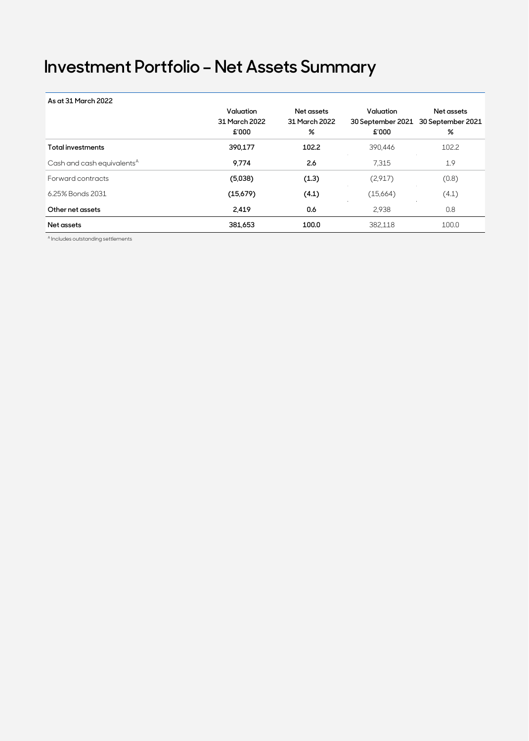# **Investment Portfolio – Net Assets Summary**

| As at 31 March 2022                    |               |               |                   |                   |
|----------------------------------------|---------------|---------------|-------------------|-------------------|
|                                        | Valuation     | Net assets    | Valuation         | Net assets        |
|                                        | 31 March 2022 | 31 March 2022 | 30 September 2021 | 30 September 2021 |
|                                        | £'000         | %             | £'000             | ℅                 |
| <b>Total investments</b>               | 390,177       | 102.2         | 390,446           | 102.2             |
| Cash and cash equivalents <sup>A</sup> | 9.774         | 2.6           | 7.315             | 1.9               |
| Forward contracts                      | (5,038)       | (1.3)         | (2,917)           | (0.8)             |
| 6.25% Bonds 2031                       | (15,679)      | (4.1)         | (15,664)          | (4.1)             |
| Other net assets                       | 2.419         | 0.6           | 2.938             | 0.8               |
| Net assets                             | 381,653       | 100.0         | 382.118           | 100.0             |

A Includes outstanding settlements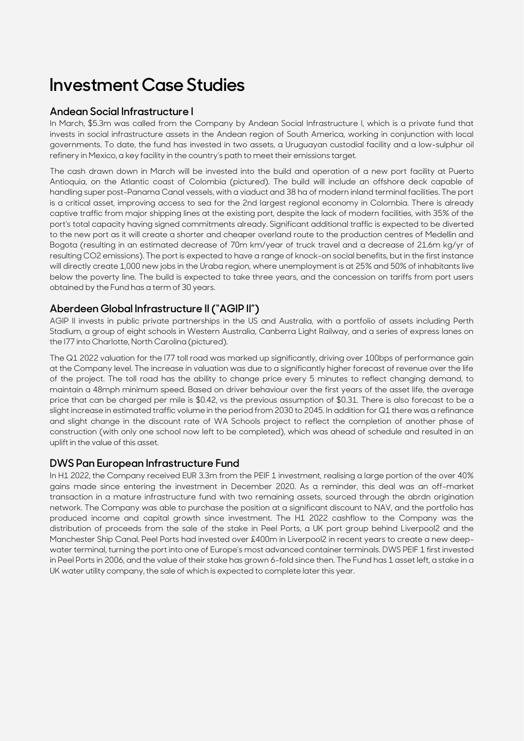## **Investment Case Studies**

### **Andean Social Infrastructure I**

In March, \$5.3m was called from the Company by Andean Social Infrastructure I, which is a private fund that invests in social infrastructure assets in the Andean region of South America, working in conjunction with local governments. To date, the fund has invested in two assets, a Uruguayan custodial facility and a low-sulphur oil refinery in Mexico, a key facility in the country's path to meet their emissions target.

The cash drawn down in March will be invested into the build and operation of a new port facility at Puerto Antioquia, on the Atlantic coast of Colombia (pictured). The build will include an offshore deck capable of handling super post-Panama Canal vessels, with a viaduct and 38 ha of modern inland terminal facilities. The port is a critical asset, improving access to sea for the 2nd largest regional economy in Colombia. There is already captive traffic from major shipping lines at the existing port, despite the lack of modern facilities, with 35% of the port's total capacity having signed commitments already. Significant additional traffic is expected to be diverted to the new port as it will create a shorter and cheaper overland route to the production centres of Medellin and Bogota (resulting in an estimated decrease of 70m km/year of truck travel and a decrease of 21.6m kg/yr of resulting CO2 emissions). The port is expected to have a range of knock-on social benefits, but in the first instance will directly create 1,000 new jobs in the Uraba region, where unemployment is at 25% and 50% of inhabitants live below the poverty line. The build is expected to take three years, and the concession on tariffs from port users obtained by the Fund has a term of 30 years.

### **Aberdeen Global Infrastructure II ("AGIP II")**

AGIP II invests in public private partnerships in the US and Australia, with a portfolio of assets including Perth Stadium, a group of eight schools in Western Australia, Canberra Light Railway, and a series of express lanes on the I77 into Charlotte, North Carolina (pictured).

The Q1 2022 valuation for the I77 toll road was marked up significantly, driving over 100bps of performance gain at the Company level. The increase in valuation was due to a significantly higher forecast of revenue over the life of the project. The toll road has the ability to change price every 5 minutes to reflect changing demand, to maintain a 48mph minimum speed. Based on driver behaviour over the first years of the asset life, the average price that can be charged per mile is \$0.42, vs the previous assumption of \$0.31. There is also forecast to be a slight increase in estimated traffic volume in the period from 2030 to 2045. In addition for Q1 there was a refinance and slight change in the discount rate of WA Schools project to reflect the completion of another phase of construction (with only one school now left to be completed), which was ahead of schedule and resulted in an uplift in the value of this asset.

### **DWS Pan European Infrastructure Fund**

In H1 2022, the Company received EUR 3.3m from the PEIF 1 investment, realising a large portion of the over 40% gains made since entering the investment in December 2020. As a reminder, this deal was an off-market transaction in a mature infrastructure fund with two remaining assets, sourced through the abrdn origination network. The Company was able to purchase the position at a significant discount to NAV, and the portfolio has produced income and capital growth since investment. The H1 2022 cashflow to the Company was the distribution of proceeds from the sale of the stake in Peel Ports, a UK port group behind Liverpool2 and the Manchester Ship Canal. Peel Ports had invested over £400m in Liverpool2 in recent years to create a new deepwater terminal, turning the port into one of Europe's most advanced container terminals. DWS PEIF 1 first invested in Peel Ports in 2006, and the value of their stake has grown 6-fold since then. The Fund has 1 asset left, a stake in a UK water utility company, the sale of which is expected to complete later this year.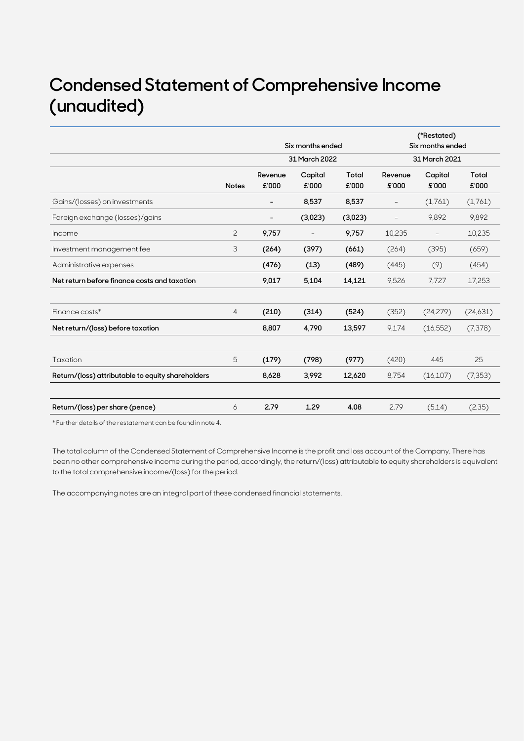# **Condensed Statement of Comprehensive Income (unaudited)**

|                                                   |              |                          | Six months ended |                |                          | (*Restated)<br>Six months ended |                |
|---------------------------------------------------|--------------|--------------------------|------------------|----------------|--------------------------|---------------------------------|----------------|
|                                                   |              |                          | 31 March 2022    |                | 31 March 2021            |                                 |                |
|                                                   | <b>Notes</b> | Revenue<br>£'000         | Capital<br>£'000 | Total<br>£'000 | Revenue<br>£'000         | Capital<br>£'000                | Total<br>£'000 |
| Gains/(losses) on investments                     |              | $\overline{\phantom{a}}$ | 8,537            | 8,537          | $\overline{\phantom{a}}$ | (1,761)                         | (1,761)        |
| Foreign exchange (losses)/gains                   |              | $\qquad \qquad$          | (3,023)          | (3,023)        | $\overline{a}$           | 9,892                           | 9,892          |
| Income                                            | 2            | 9,757                    |                  | 9,757          | 10,235                   | $\overline{\phantom{a}}$        | 10,235         |
| Investment management fee                         | 3            | (264)                    | (397)            | (661)          | (264)                    | (395)                           | (659)          |
| Administrative expenses                           |              | (476)                    | (13)             | (489)          | (445)                    | (9)                             | (454)          |
| Net return before finance costs and taxation      |              | 9,017                    | 5,104            | 14,121         | 9,526                    | 7.727                           | 17,253         |
| Finance costs*                                    | 4            | (210)                    | (314)            | (524)          | (352)                    | (24,279)                        | (24,631)       |
| Net return/(loss) before taxation                 |              | 8,807                    | 4,790            | 13,597         | 9,174                    | (16, 552)                       | (7,378)        |
|                                                   |              |                          |                  |                |                          |                                 |                |
| Taxation                                          | 5            | (179)                    | (798)            | (977)          | (420)                    | 445                             | 25             |
| Return/(loss) attributable to equity shareholders |              | 8,628                    | 3,992            | 12,620         | 8,754                    | (16, 107)                       | (7, 353)       |
|                                                   |              |                          |                  |                |                          |                                 |                |
| Return/(loss) per share (pence)                   | 6            | 2.79                     | 1.29             | 4.08           | 2.79                     | (5.14)                          | (2.35)         |

\* Further details of the restatement can be found in note 4.

The total column of the Condensed Statement of Comprehensive Income is the profit and loss account of the Company. There has been no other comprehensive income during the period, accordingly, the return/(loss) attributable to equity shareholders is equivalent to the total comprehensive income/(loss) for the period.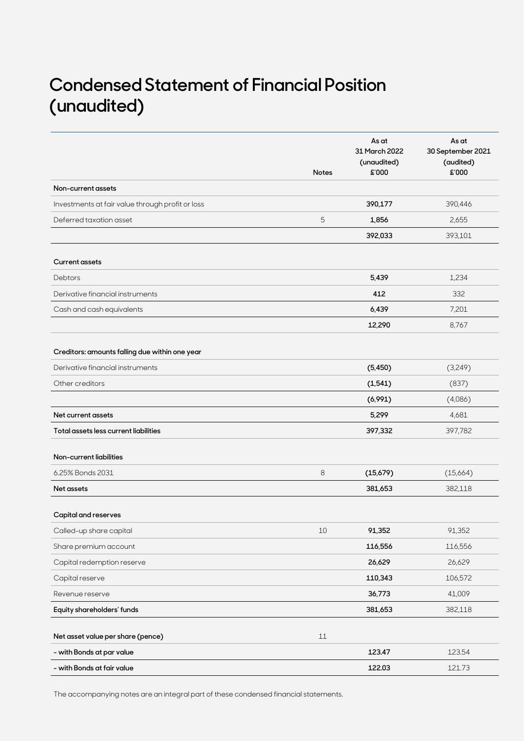# **Condensed Statement of Financial Position (unaudited)**

|                                                  | <b>Notes</b> | As at<br>31 March 2022<br>(unaudited)<br>£'000 | As at<br>30 September 2021<br>(audited)<br>£'000 |
|--------------------------------------------------|--------------|------------------------------------------------|--------------------------------------------------|
| Non-current assets                               |              |                                                |                                                  |
| Investments at fair value through profit or loss |              | 390,177                                        | 390,446                                          |
| Deferred taxation asset                          | 5            | 1,856                                          | 2,655                                            |
|                                                  |              | 392,033                                        | 393,101                                          |
| <b>Current assets</b>                            |              |                                                |                                                  |
| Debtors                                          |              | 5,439                                          | 1,234                                            |
| Derivative financial instruments                 |              | 412                                            | 332                                              |
| Cash and cash equivalents                        |              | 6,439                                          | 7,201                                            |
|                                                  |              | 12,290                                         | 8,767                                            |
| Creditors: amounts falling due within one year   |              |                                                |                                                  |
| Derivative financial instruments                 |              | (5, 450)                                       | (3,249)                                          |
| Other creditors                                  |              | (1, 541)                                       | (837)                                            |
|                                                  |              | (6,991)                                        | (4,086)                                          |
| Net current assets                               |              | 5,299                                          | 4,681                                            |
| Total assets less current liabilities            |              | 397,332                                        | 397,782                                          |
| Non-current liabilities                          |              |                                                |                                                  |
| 6.25% Bonds 2031                                 | 8            | (15,679)                                       | (15,664)                                         |
| <b>Net assets</b>                                |              | 381,653                                        | 382,118                                          |
| Capital and reserves                             |              |                                                |                                                  |
| Called-up share capital                          | $10\,$       | 91,352                                         | 91,352                                           |
| Share premium account                            |              | 116,556                                        | 116,556                                          |
| Capital redemption reserve                       |              | 26,629                                         | 26,629                                           |
| Capital reserve                                  |              | 110,343                                        | 106,572                                          |
| Revenue reserve                                  |              | 36,773                                         | 41,009                                           |
| Equity shareholders' funds                       |              | 381,653                                        | 382,118                                          |
| Net asset value per share (pence)                | 11           |                                                |                                                  |
| - with Bonds at par value                        |              | 123.47                                         | 123.54                                           |
| - with Bonds at fair value                       |              | 122.03                                         | 121.73                                           |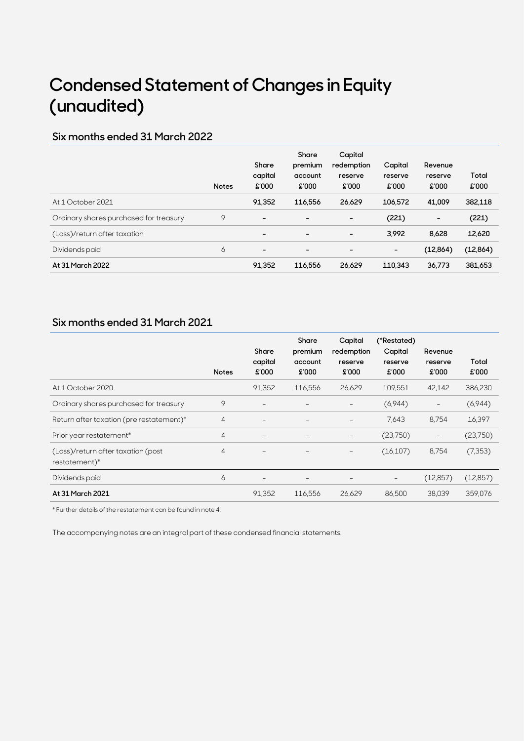# **Condensed Statement of Changes in Equity (unaudited)**

## **Six months ended 31 March 2022**

|                                        | <b>Notes</b> | Share<br>capital<br>£'000 | Share<br>premium<br>account<br>£'000 | Capital<br>redemption<br>reserve<br>£'000 | Capital<br>reserve<br>£'000 | Revenue<br>reserve<br>£'000 | Total<br>\$000 |
|----------------------------------------|--------------|---------------------------|--------------------------------------|-------------------------------------------|-----------------------------|-----------------------------|----------------|
| At 1 October 2021                      |              | 91,352                    | 116,556                              | 26,629                                    | 106,572                     | 41.009                      | 382,118        |
| Ordinary shares purchased for treasury | 9            | $\overline{\phantom{a}}$  | $\overline{\phantom{a}}$             | $\overline{\phantom{0}}$                  | (221)                       | $\overline{\phantom{a}}$    | (221)          |
| (Loss)/return after taxation           |              | $\overline{\phantom{0}}$  | -                                    | $\overline{\phantom{0}}$                  | 3.992                       | 8,628                       | 12,620         |
| Dividends paid                         | 6            | $\overline{\phantom{a}}$  | $\overline{\phantom{a}}$             | -                                         | -                           | (12, 864)                   | (12,864)       |
| At 31 March 2022                       |              | 91,352                    | 116,556                              | 26,629                                    | 110.343                     | 36.773                      | 381,653        |

### **Six months ended 31 March 2021**

|                                                     | <b>Notes</b>   | Share<br>capital<br>£'000 | Share<br>premium<br>account<br>£'000 | Capital<br>redemption<br>reserve<br>£'000 | (*Restated)<br>Capital<br>reserve<br>£'000 | Revenue<br>reserve<br>£'000 | Total<br>£'000 |
|-----------------------------------------------------|----------------|---------------------------|--------------------------------------|-------------------------------------------|--------------------------------------------|-----------------------------|----------------|
| At 1 October 2020                                   |                | 91,352                    | 116,556                              | 26,629                                    | 109,551                                    | 42,142                      | 386,230        |
| Ordinary shares purchased for treasury              | 9              |                           |                                      |                                           | (6,944)                                    | $\overline{\phantom{a}}$    | (6,944)        |
| Return after taxation (pre restatement)*            | $\overline{4}$ |                           |                                      |                                           | 7,643                                      | 8,754                       | 16,397         |
| Prior year restatement*                             | $\overline{4}$ |                           |                                      |                                           | (23,750)                                   | $\qquad \qquad -$           | (23,750)       |
| (Loss)/return after taxation (post<br>restatement)* | $\overline{4}$ |                           |                                      | $\qquad \qquad -$                         | (16, 107)                                  | 8,754                       | (7,353)        |
| Dividends paid                                      | 6              |                           |                                      |                                           | -                                          | (12, 857)                   | (12, 857)      |
| At 31 March 2021                                    |                | 91,352                    | 116,556                              | 26,629                                    | 86,500                                     | 38.039                      | 359.076        |

\* Further details of the restatement can be found in note 4.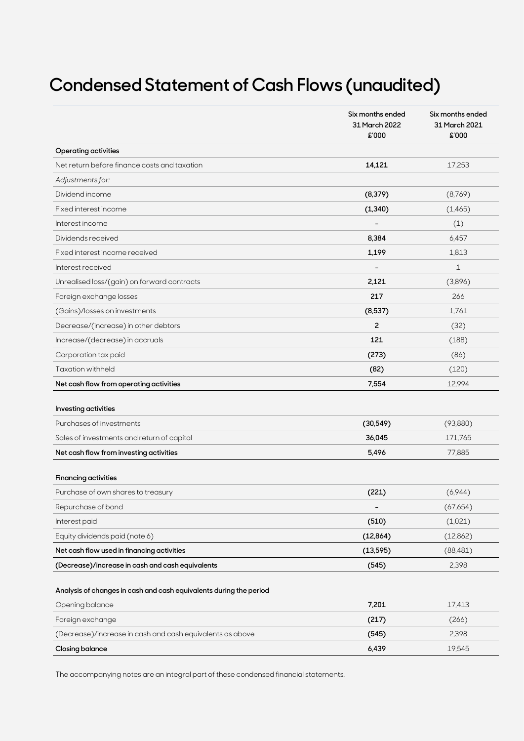# **Condensed Statement of Cash Flows (unaudited)**

|                                                                    | Six months ended<br>31 March 2022<br>£'000 | Six months ended<br>31 March 2021<br>£'000 |
|--------------------------------------------------------------------|--------------------------------------------|--------------------------------------------|
| <b>Operating activities</b>                                        |                                            |                                            |
| Net return before finance costs and taxation                       | 14,121                                     | 17,253                                     |
| Adjustments for:                                                   |                                            |                                            |
| Dividend income                                                    | (8, 379)                                   | (8,769)                                    |
| Fixed interest income                                              | (1, 340)                                   | (1, 465)                                   |
| Interest income                                                    |                                            | (1)                                        |
| Dividends received                                                 | 8,384                                      | 6,457                                      |
| Fixed interest income received                                     | 1,199                                      | 1,813                                      |
| Interest received                                                  | $\overline{\phantom{a}}$                   | $\mathbf{1}$                               |
| Unrealised loss/(gain) on forward contracts                        | 2,121                                      | (3,896)                                    |
| Foreign exchange losses                                            | 217                                        | 266                                        |
| (Gains)/losses on investments                                      | (8,537)                                    | 1.761                                      |
| Decrease/(increase) in other debtors                               | $\overline{2}$                             | (32)                                       |
| Increase/(decrease) in accruals                                    | 121                                        | (188)                                      |
| Corporation tax paid                                               | (273)                                      | (86)                                       |
| <b>Taxation withheld</b>                                           | (82)                                       | (120)                                      |
| Net cash flow from operating activities                            | 7,554                                      | 12,994                                     |
| Investing activities                                               |                                            |                                            |
| Purchases of investments                                           | (30, 549)                                  | (93,880)                                   |
| Sales of investments and return of capital                         | 36,045                                     | 171,765                                    |
| Net cash flow from investing activities                            | 5,496                                      | 77,885                                     |
| <b>Financing activities</b>                                        |                                            |                                            |
| Purchase of own shares to treasury                                 | (221)                                      | (6,944)                                    |
| Repurchase of bond                                                 |                                            | (67,654)                                   |
| Interest paid                                                      | (510)                                      | (1,021)                                    |
| Equity dividends paid (note 6)                                     | (12, 864)                                  | (12,862)                                   |
| Net cash flow used in financing activities                         | (13, 595)                                  | (88, 481)                                  |
| (Decrease)/increase in cash and cash equivalents                   | (545)                                      | 2,398                                      |
| Analysis of changes in cash and cash equivalents during the period |                                            |                                            |
| Opening balance                                                    | 7,201                                      | 17,413                                     |
| Foreign exchange                                                   | (217)                                      | (266)                                      |
| (Decrease)/increase in cash and cash equivalents as above          | (545)                                      | 2,398                                      |
| <b>Closing balance</b>                                             | 6,439                                      | 19,545                                     |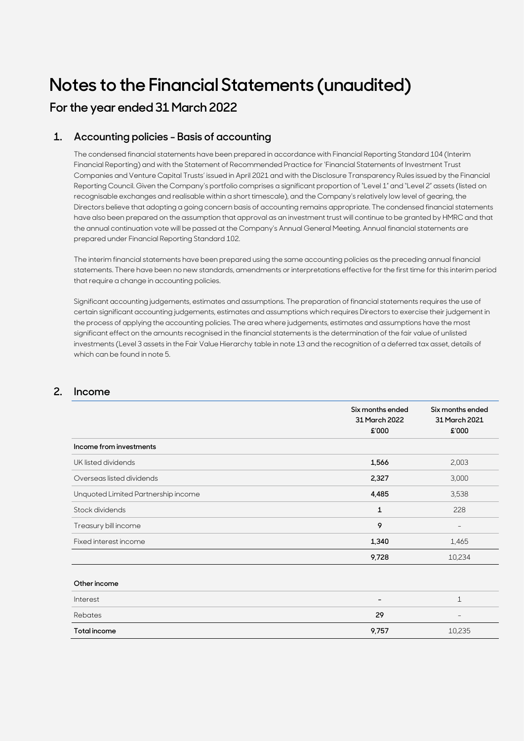## **Notes to the Financial Statements (unaudited)**

## **For the year ended 31 March 2022**

### **1. Accounting policies - Basis of accounting**

The condensed financial statements have been prepared in accordance with Financial Reporting Standard 104 (Interim Financial Reporting) and with the Statement of Recommended Practice for 'Financial Statements of Investment Trust Companies and Venture Capital Trusts' issued in April 2021 and with the Disclosure Transparency Rules issued by the Financial Reporting Council. Given the Company's portfolio comprises a significant proportion of "Level 1" and "Level 2" assets (listed on recognisable exchanges and realisable within a short timescale), and the Company's relatively low level of gearing, the Directors believe that adopting a going concern basis of accounting remains appropriate. The condensed financial statements have also been prepared on the assumption that approval as an investment trust will continue to be granted by HMRC and that the annual continuation vote will be passed at the Company's Annual General Meeting. Annual financial statements are prepared under Financial Reporting Standard 102.

The interim financial statements have been prepared using the same accounting policies as the preceding annual financial statements. There have been no new standards, amendments or interpretations effective for the first time for this interim period that require a change in accounting policies.

Significant accounting judgements, estimates and assumptions. The preparation of financial statements requires the use of certain significant accounting judgements, estimates and assumptions which requires Directors to exercise their judgement in the process of applying the accounting policies. The area where judgements, estimates and assumptions have the most significant effect on the amounts recognised in the financial statements is the determination of the fair value of unlisted investments (Level 3 assets in the Fair Value Hierarchy table in note 13 and the recognition of a deferred tax asset, details of which can be found in note 5.

### **2. Income**

|                                     | Six months ended<br>31 March 2022<br>£'000 | Six months ended<br>31 March 2021<br>£'000 |
|-------------------------------------|--------------------------------------------|--------------------------------------------|
| Income from investments             |                                            |                                            |
| UK listed dividends                 | 1,566                                      | 2,003                                      |
| Overseas listed dividends           | 2,327                                      | 3,000                                      |
| Unquoted Limited Partnership income | 4,485                                      | 3,538                                      |
| Stock dividends                     | 1                                          | 228                                        |
| Treasury bill income                | 9                                          |                                            |
| Fixed interest income               | 1,340                                      | 1,465                                      |
|                                     | 9,728                                      | 10,234                                     |
|                                     |                                            |                                            |
| Other income                        |                                            |                                            |
| Interest                            |                                            | $\mathbf{1}$                               |
| Rebates                             | 29                                         |                                            |

**Total income 9,757** 10,235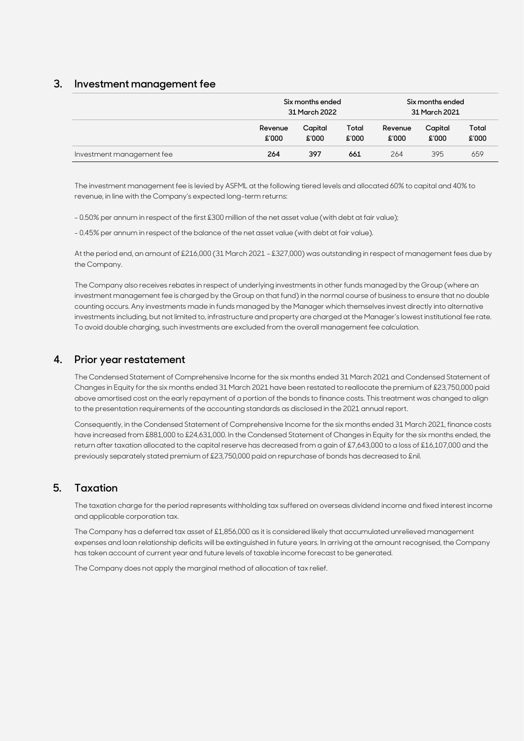### **3. Investment management fee**

|                           | Six months ended<br>31 March 2022 |                  |                | Six months ended<br>31 March 2021 |                  |                |
|---------------------------|-----------------------------------|------------------|----------------|-----------------------------------|------------------|----------------|
|                           | Revenue<br>£'000                  | Capital<br>£'000 | Total<br>£'000 | Revenue<br>£'000                  | Capital<br>£'000 | Total<br>£'000 |
| Investment management fee | 264                               | 397              | 661            | 264                               | 395              | 659            |

The investment management fee is levied by ASFML at the following tiered levels and allocated 60% to capital and 40% to revenue, in line with the Company's expected long-term returns:

- 0.50% per annum in respect of the first £300 million of the net asset value (with debt at fair value);

- 0.45% per annum in respect of the balance of the net asset value (with debt at fair value).

At the period end, an amount of £216,000 (31 March 2021 - £327,000) was outstanding in respect of management fees due by the Company.

The Company also receives rebates in respect of underlying investments in other funds managed by the Group (where an investment management fee is charged by the Group on that fund) in the normal course of business to ensure that no double counting occurs. Any investments made in funds managed by the Manager which themselves invest directly into alternative investments including, but not limited to, infrastructure and property are charged at the Manager's lowest institutional fee rate. To avoid double charging, such investments are excluded from the overall management fee calculation.

#### **4. Prior year restatement**

The Condensed Statement of Comprehensive Income for the six months ended 31 March 2021 and Condensed Statement of Changes in Equity for the six months ended 31 March 2021 have been restated to reallocate the premium of £23,750,000 paid above amortised cost on the early repayment of a portion of the bonds to finance costs. This treatment was changed to align to the presentation requirements of the accounting standards as disclosed in the 2021 annual report.

Consequently, in the Condensed Statement of Comprehensive Income for the six months ended 31 March 2021, finance costs have increased from £881,000 to £24,631,000. In the Condensed Statement of Changes in Equity for the six months ended, the return after taxation allocated to the capital reserve has decreased from a gain of £7,643,000 to a loss of £16,107,000 and the previously separately stated premium of £23,750,000 paid on repurchase of bonds has decreased to £nil.

### **5. Taxation**

The taxation charge for the period represents withholding tax suffered on overseas dividend income and fixed interest income and applicable corporation tax.

The Company has a deferred tax asset of £1,856,000 as it is considered likely that accumulated unrelieved management expenses and loan relationship deficits will be extinguished in future years. In arriving at the amount recognised, the Company has taken account of current year and future levels of taxable income forecast to be generated.

The Company does not apply the marginal method of allocation of tax relief.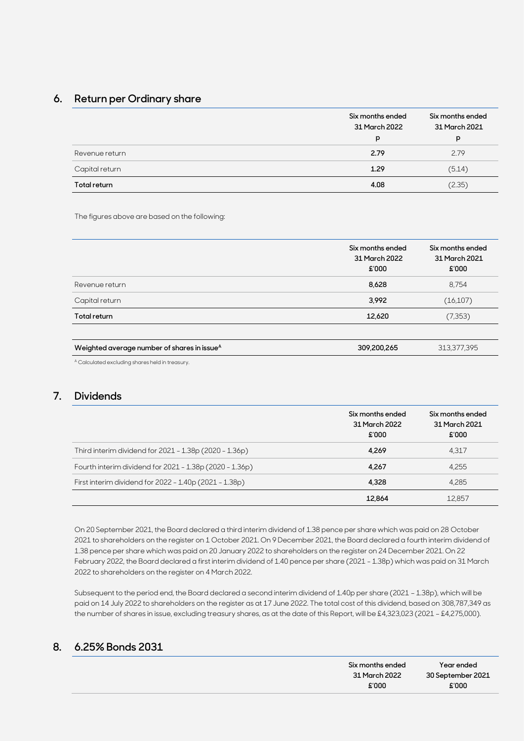### **6. Return per Ordinary share**

|                     | Six months ended<br>31 March 2022<br>p | Six months ended<br>31 March 2021<br>p |
|---------------------|----------------------------------------|----------------------------------------|
| Revenue return      | 2.79                                   | 2.79                                   |
| Capital return      | 1.29                                   | (5.14)                                 |
| <b>Total return</b> | 4.08                                   | (2.35)                                 |

The figures above are based on the following:

|                                                                                                                    | Six months ended<br>31 March 2022<br>£'000 | Six months ended<br>31 March 2021<br>£'000 |
|--------------------------------------------------------------------------------------------------------------------|--------------------------------------------|--------------------------------------------|
| Revenue return                                                                                                     | 8,628                                      | 8,754                                      |
| Capital return                                                                                                     | 3,992                                      | (16, 107)                                  |
| <b>Total return</b>                                                                                                | 12,620                                     | (7,353)                                    |
|                                                                                                                    |                                            |                                            |
| Weighted average number of shares in issue <sup>A</sup>                                                            | 309,200,265                                | 313,377,395                                |
| $\wedge$ $\sim$ $\qquad$ $\cdots$ $\qquad$ $\cdots$ $\qquad$ $\cdots$ $\qquad$ $\cdots$ $\qquad$ $\cdots$ $\qquad$ |                                            |                                            |

<sup>A</sup> Calculated excluding shares held in treasury.

### **7. Dividends**

|                                                         | Six months ended<br>31 March 2022<br>£'000 | Six months ended<br>31 March 2021<br>£'000 |
|---------------------------------------------------------|--------------------------------------------|--------------------------------------------|
| Third interim dividend for 2021 - 1.38p (2020 - 1.36p)  | 4.269                                      | 4.317                                      |
| Fourth interim dividend for 2021 - 1.38p (2020 - 1.36p) | 4.267                                      | 4.255                                      |
| First interim dividend for 2022 - 1.40p (2021 - 1.38p)  | 4.328                                      | 4.285                                      |
|                                                         | 12.864                                     | 12.857                                     |

On 20 September 2021, the Board declared a third interim dividend of 1.38 pence per share which was paid on 28 October 2021 to shareholders on the register on 1 October 2021. On 9 December 2021, the Board declared a fourth interim dividend of 1.38 pence per share which was paid on 20 January 2022 to shareholders on the register on 24 December 2021. On 22 February 2022, the Board declared a first interim dividend of 1.40 pence per share (2021 - 1.38p) which was paid on 31 March 2022 to shareholders on the register on 4 March 2022.

Subsequent to the period end, the Board declared a second interim dividend of 1.40p per share (2021 – 1.38p), which will be paid on 14 July 2022 to shareholders on the register as at 17 June 2022. The total cost of this dividend, based on 308,787,349 as the number of shares in issue, excluding treasury shares, as at the date of this Report, will be £4,323,023 (2021 – £4,275,000).

### **8. 6.25% Bonds 2031**

| £'000<br>£'000 |
|----------------|
|----------------|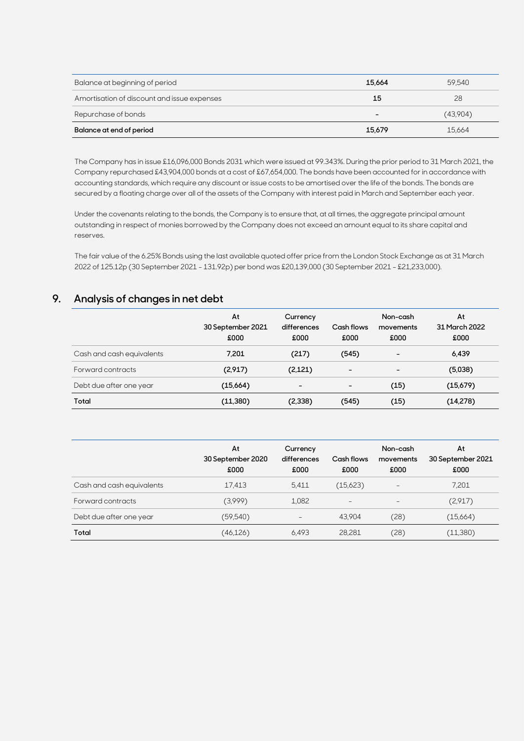| Balance at beginning of period              | 15.664                   | 59,540   |
|---------------------------------------------|--------------------------|----------|
| Amortisation of discount and issue expenses | 15                       | 28       |
| Repurchase of bonds                         | $\overline{\phantom{0}}$ | (43,904) |
| Balance at end of period                    | 15,679                   | 15.664   |

The Company has in issue £16,096,000 Bonds 2031 which were issued at 99.343%. During the prior period to 31 March 2021, the Company repurchased £43,904,000 bonds at a cost of £67,654,000. The bonds have been accounted for in accordance with accounting standards, which require any discount or issue costs to be amortised over the life of the bonds. The bonds are secured by a floating charge over all of the assets of the Company with interest paid in March and September each year.

Under the covenants relating to the bonds, the Company is to ensure that, at all times, the aggregate principal amount outstanding in respect of monies borrowed by the Company does not exceed an amount equal to its share capital and reserves.

The fair value of the 6.25% Bonds using the last available quoted offer price from the London Stock Exchange as at 31 March 2022 of 125.12p (30 September 2021 - 131.92p) per bond was £20,139,000 (30 September 2021 - £21,233,000).

### **9. Analysis of changes in net debt**

|                           | At<br>30 September 2021<br>£000 | Currency<br>differences<br>£000 | Cash flows<br>£000       | Non-cash<br>movements<br>£000 | At<br>31 March 2022<br>£000 |
|---------------------------|---------------------------------|---------------------------------|--------------------------|-------------------------------|-----------------------------|
| Cash and cash equivalents | 7,201                           | (217)                           | (545)                    | -                             | 6,439                       |
| Forward contracts         | (2,917)                         | (2,121)                         | $\overline{\phantom{0}}$ | -                             | (5,038)                     |
| Debt due after one year   | (15,664)                        | $\overline{\phantom{0}}$        | $\overline{\phantom{0}}$ | (15)                          | (15,679)                    |
| Total                     | (11, 380)                       | (2,338)                         | (545)                    | (15)                          | (14,278)                    |

|                           | At<br>30 September 2020<br>£000 | Currency<br>differences<br>£000 | Cash flows<br>£000 | Non-cash<br>movements<br>£000 | At<br>30 September 2021<br>£000 |
|---------------------------|---------------------------------|---------------------------------|--------------------|-------------------------------|---------------------------------|
| Cash and cash equivalents | 17,413                          | 5,411                           | (15,623)           | $\qquad \qquad -$             | 7.201                           |
| Forward contracts         | (3,999)                         | 1,082                           | $\qquad \qquad -$  |                               | (2,917)                         |
| Debt due after one year   | (59,540)                        |                                 | 43.904             | (28)                          | (15,664)                        |
| Total                     | (46,126)                        | 6.493                           | 28,281             | (28)                          | (11,380)                        |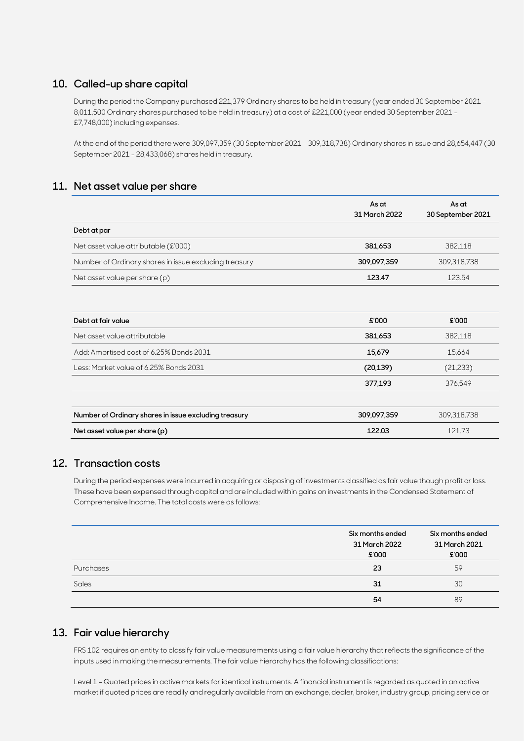### **10. Called-up share capital**

During the period the Company purchased 221,379 Ordinary shares to be held in treasury (year ended 30 September 2021 - 8,011,500 Ordinary shares purchased to be held in treasury) at a cost of £221,000 (year ended 30 September 2021 - £7,748,000) including expenses.

At the end of the period there were 309,097,359 (30 September 2021 - 309,318,738) Ordinary shares in issue and 28,654,447 (30 September 2021 - 28,433,068) shares held in treasury.

#### **11. Net asset value per share**

|                                                       | As at<br>31 March 2022 | As at<br>30 September 2021 |
|-------------------------------------------------------|------------------------|----------------------------|
| Debt at par                                           |                        |                            |
| Net asset value attributable (£'000)                  | 381,653                | 382,118                    |
| Number of Ordinary shares in issue excluding treasury | 309,097,359            | 309,318,738                |
| Net asset value per share $(p)$                       | 123.47                 | 123.54                     |
|                                                       |                        |                            |
| Debt at fair value                                    | £'000                  | £'000                      |
| Net asset value attributable                          | 381,653                | 382,118                    |
| Add: Amortised cost of 6.25% Bonds 2031               | 15,679                 | 15,664                     |
| Less: Market value of 6.25% Bonds 2031                | (20, 139)              | (21, 233)                  |
|                                                       | 377,193                | 376,549                    |
|                                                       |                        |                            |
| Number of Ordinary shares in issue excluding treasury | 309,097,359            | 309,318,738                |
| Net asset value per share (p)                         | 122.03                 | 121.73                     |

### **12. Transaction costs**

During the period expenses were incurred in acquiring or disposing of investments classified as fair value though profit or loss. These have been expensed through capital and are included within gains on investments in the Condensed Statement of Comprehensive Income. The total costs were as follows:

|           | Six months ended<br>31 March 2022<br>£'000 | Six months ended<br>31 March 2021<br>£'000 |
|-----------|--------------------------------------------|--------------------------------------------|
| Purchases | 23                                         | 59                                         |
| Sales     | 31                                         | 30                                         |
|           | 54                                         | 89                                         |

### **13. Fair value hierarchy**

FRS 102 requires an entity to classify fair value measurements using a fair value hierarchy that reflects the significance of the inputs used in making the measurements. The fair value hierarchy has the following classifications:

Level 1 – Quoted prices in active markets for identical instruments. A financial instrument is regarded as quoted in an active market if quoted prices are readily and regularly available from an exchange, dealer, broker, industry group, pricing service or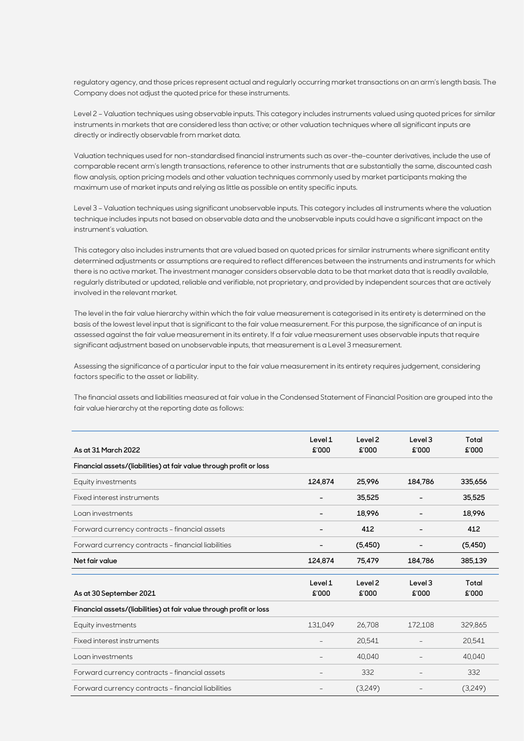regulatory agency, and those prices represent actual and regularly occurring market transactions on an arm's length basis. The Company does not adjust the quoted price for these instruments.

Level 2 – Valuation techniques using observable inputs. This category includes instruments valued using quoted prices for similar instruments in markets that are considered less than active; or other valuation techniques where all significant inputs are directly or indirectly observable from market data.

Valuation techniques used for non-standardised financial instruments such as over-the-counter derivatives, include the use of comparable recent arm's length transactions, reference to other instruments that are substantially the same, discounted cash flow analysis, option pricing models and other valuation techniques commonly used by market participants making the maximum use of market inputs and relying as little as possible on entity specific inputs.

Level 3 – Valuation techniques using significant unobservable inputs. This category includes all instruments where the valuation technique includes inputs not based on observable data and the unobservable inputs could have a significant impact on the instrument's valuation.

This category also includes instruments that are valued based on quoted prices for similar instruments where significant entity determined adjustments or assumptions are required to reflect differences between the instruments and instruments for which there is no active market. The investment manager considers observable data to be that market data that is readily available, regularly distributed or updated, reliable and verifiable, not proprietary, and provided by independent sources that are actively involved in the relevant market.

The level in the fair value hierarchy within which the fair value measurement is categorised in its entirety is determined on the basis of the lowest level input that is significant to the fair value measurement. For this purpose, the significance of an input is assessed against the fair value measurement in its entirety. If a fair value measurement uses observable inputs that require significant adjustment based on unobservable inputs, that measurement is a Level 3 measurement.

Assessing the significance of a particular input to the fair value measurement in its entirety requires judgement, considering factors specific to the asset or liability.

The financial assets and liabilities measured at fair value in the Condensed Statement of Financial Position are grouped into the fair value hierarchy at the reporting date as follows:

| As at 31 March 2022                                                 | Level 1<br>£'000         | Level <sub>2</sub><br>£'000 | Level 3<br>£'000 | Total<br>£'000 |
|---------------------------------------------------------------------|--------------------------|-----------------------------|------------------|----------------|
| Financial assets/(liabilities) at fair value through profit or loss |                          |                             |                  |                |
| Equity investments                                                  | 124,874                  | 25.996                      | 184,786          | 335,656        |
| Fixed interest instruments                                          | $\overline{\phantom{0}}$ | 35,525                      | -                | 35,525         |
| Loan investments                                                    | -                        | 18,996                      |                  | 18,996         |
| Forward currency contracts - financial assets                       | -                        | 412                         |                  | 412            |
| Forward currency contracts - financial liabilities                  | -                        | (5,450)                     |                  | (5,450)        |
| Net fair value                                                      | 124,874                  | 75,479                      | 184,786          | 385,139        |
| As at 30 September 2021                                             | Level 1<br>£'000         | Level <sub>2</sub><br>£'000 | Level 3<br>£'000 | Total<br>£'000 |
| Financial assets/(liabilities) at fair value through profit or loss |                          |                             |                  |                |
| Equity investments                                                  | 131,049                  | 26,708                      | 172,108          | 329,865        |
| Fixed interest instruments                                          |                          | 20,541                      |                  | 20,541         |
| Loan investments                                                    |                          | 40,040                      |                  | 40,040         |
| Forward currency contracts - financial assets                       |                          | 332                         |                  | 332            |
| Forward currency contracts - financial liabilities                  |                          | (3,249)                     |                  | (3,249)        |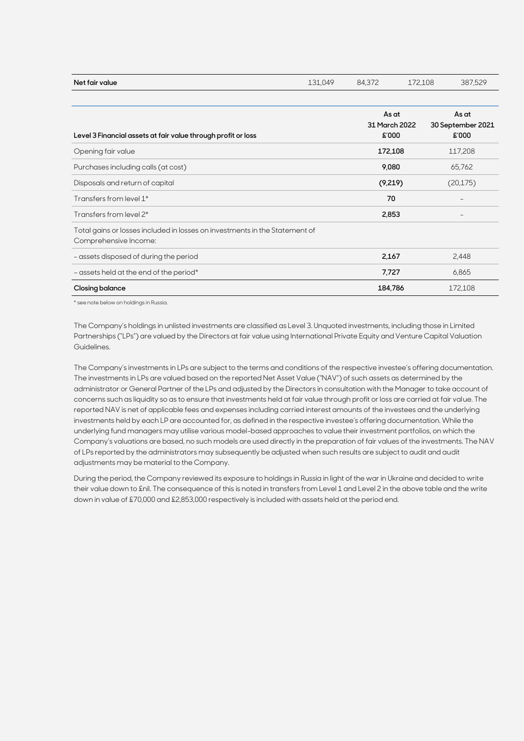| Net fair value                                                                                       | 131,049 | 84,372                          | 172,108 | 387,529                             |
|------------------------------------------------------------------------------------------------------|---------|---------------------------------|---------|-------------------------------------|
| Level 3 Financial assets at fair value through profit or loss                                        |         | As at<br>31 March 2022<br>£'000 |         | As at<br>30 September 2021<br>£'000 |
| Opening fair value                                                                                   |         | 172,108                         |         | 117,208                             |
| Purchases including calls (at cost)                                                                  |         | 9,080                           |         | 65,762                              |
| Disposals and return of capital                                                                      |         | (9,219)                         |         | (20, 175)                           |
| Transfers from level 1*                                                                              |         | 70                              |         | $\overline{\phantom{0}}$            |
| Transfers from level 2*                                                                              |         | 2,853                           |         |                                     |
| Total gains or losses included in losses on investments in the Statement of<br>Comprehensive Income: |         |                                 |         |                                     |
| - assets disposed of during the period                                                               |         | 2,167                           |         | 2,448                               |
| - assets held at the end of the period*                                                              |         | 7,727                           |         | 6,865                               |
| <b>Closing balance</b>                                                                               |         | 184,786                         |         | 172,108                             |

\* see note below on holdings in Russia.

The Company's holdings in unlisted investments are classified as Level 3. Unquoted investments, including those in Limited Partnerships ("LPs") are valued by the Directors at fair value using International Private Equity and Venture Capital Valuation Guidelines.

The Company's investments in LPs are subject to the terms and conditions of the respective investee's offering documentation. The investments in LPs are valued based on the reported Net Asset Value ("NAV") of such assets as determined by the administrator or General Partner of the LPs and adjusted by the Directors in consultation with the Manager to take account of concerns such as liquidity so as to ensure that investments held at fair value through profit or loss are carried at fair value. The reported NAV is net of applicable fees and expenses including carried interest amounts of the investees and the underlying investments held by each LP are accounted for, as defined in the respective investee's offering documentation. While the underlying fund managers may utilise various model-based approaches to value their investment portfolios, on which the Company's valuations are based, no such models are used directly in the preparation of fair values of the investments. The NAV of LPs reported by the administrators may subsequently be adjusted when such results are subject to audit and audit adjustments may be material to the Company.

During the period, the Company reviewed its exposure to holdings in Russia in light of the war in Ukraine and decided to write their value down to £nil. The consequence of this is noted in transfers from Level 1 and Level 2 in the above table and the write down in value of £70,000 and £2,853,000 respectively is included with assets held at the period end.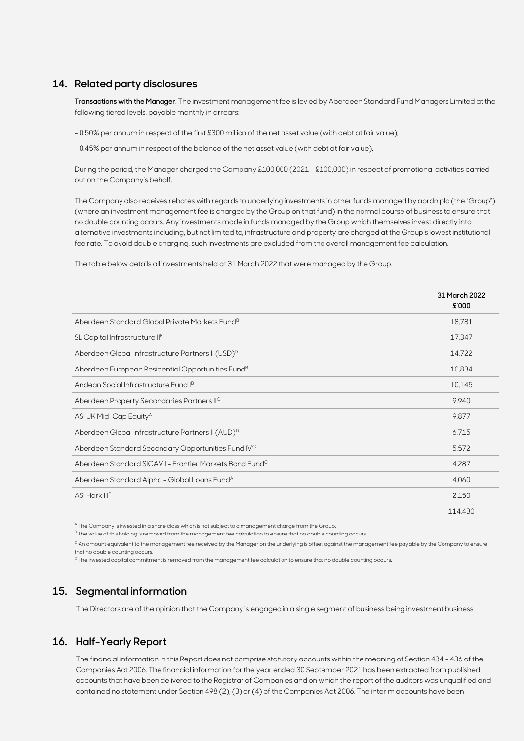#### **14. Related party disclosures**

**Transactions with the Manager**. The investment management fee is levied by Aberdeen Standard Fund Managers Limited at the following tiered levels, payable monthly in arrears:

- 0.50% per annum in respect of the first £300 million of the net asset value (with debt at fair value);

- 0.45% per annum in respect of the balance of the net asset value (with debt at fair value).

During the period, the Manager charged the Company £100,000 (2021 - £100,000) in respect of promotional activities carried out on the Company's behalf.

The Company also receives rebates with regards to underlying investments in other funds managed by abrdn plc (the "Group") (where an investment management fee is charged by the Group on that fund) in the normal course of business to ensure that no double counting occurs. Any investments made in funds managed by the Group which themselves invest directly into alternative investments including, but not limited to, infrastructure and property are charged at the Group's lowest institutional fee rate. To avoid double charging, such investments are excluded from the overall management fee calculation.

The table below details all investments held at 31 March 2022 that were managed by the Group.

|                                                                     | 31 March 2022<br>£'000 |
|---------------------------------------------------------------------|------------------------|
| Aberdeen Standard Global Private Markets Fund <sup>B</sup>          | 18,781                 |
| SL Capital Infrastructure II <sup>B</sup>                           | 17,347                 |
| Aberdeen Global Infrastructure Partners II (USD) <sup>D</sup>       | 14,722                 |
| Aberdeen European Residential Opportunities Fund <sup>B</sup>       | 10,834                 |
| Andean Social Infrastructure Fund I <sup>B</sup>                    | 10,145                 |
| Aberdeen Property Secondaries Partners IIC                          | 9,940                  |
| ASI UK Mid-Cap Equity <sup>A</sup>                                  | 9,877                  |
| Aberdeen Global Infrastructure Partners II (AUD) <sup>D</sup>       | 6,715                  |
| Aberdeen Standard Secondary Opportunities Fund IVC                  | 5,572                  |
| Aberdeen Standard SICAV I - Frontier Markets Bond Fund <sup>C</sup> | 4,287                  |
| Aberdeen Standard Alpha - Global Loans Fund <sup>A</sup>            | 4,060                  |
| ASI Hark III <sup>B</sup>                                           | 2,150                  |
|                                                                     | 114,430                |

<sup>A</sup> The Company is invested in a share class which is not subject to a management charge from the Group.

B The value of this holding is removed from the management fee calculation to ensure that no double counting occurs.

 $^{\circ}$  An amount equivalent to the management fee received by the Manager on the underlying is offset against the management fee payable by the Company to ensure that no double counting occurs.

<sup>D</sup> The invested capital commitment is removed from the management fee calculation to ensure that no double counting occurs.

### **15. Segmental information**

The Directors are of the opinion that the Company is engaged in a single segment of business being investment business.

### **16. Half-Yearly Report**

The financial information in this Report does not comprise statutory accounts within the meaning of Section 434 - 436 of the Companies Act 2006. The financial information for the year ended 30 September 2021 has been extracted from published accounts that have been delivered to the Registrar of Companies and on which the report of the auditors was unqualified and contained no statement under Section 498 (2), (3) or (4) of the Companies Act 2006. The interim accounts have been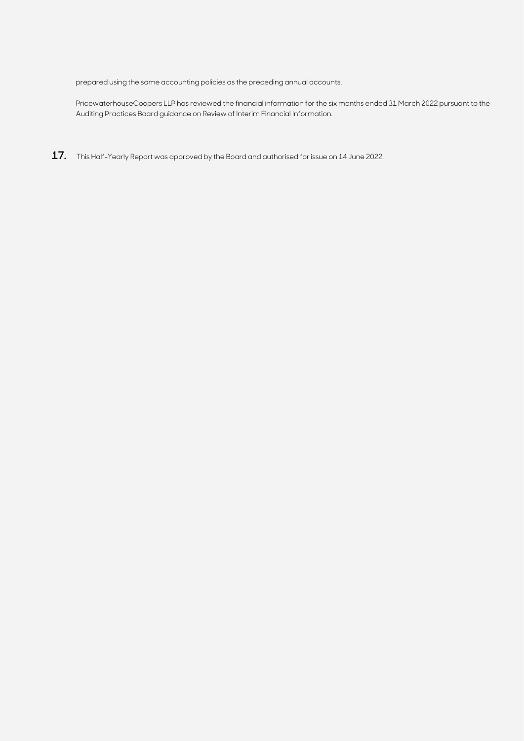prepared using the same accounting policies as the preceding annual accounts.

PricewaterhouseCoopers LLP has reviewed the financial information for the six months ended 31 March 2022 pursuant to the Auditing Practices Board guidance on Review of Interim Financial Information.

**17.** This Half-Yearly Report was approved by the Board and authorised for issue on 14 June 2022.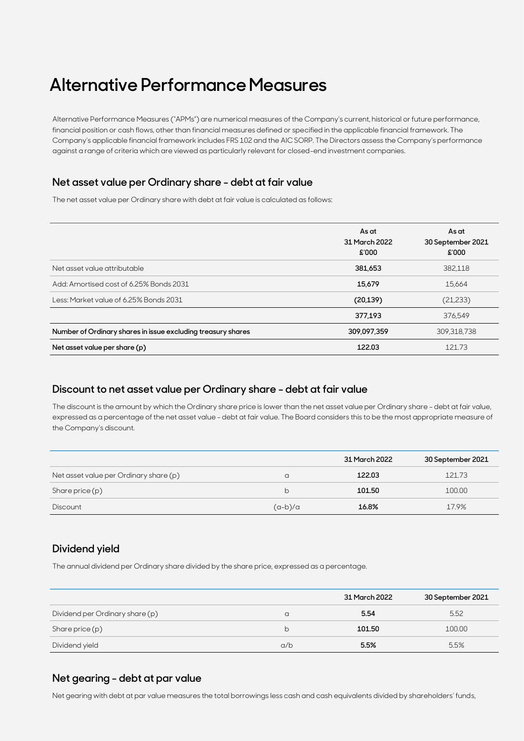## **Alternative Performance Measures**

Alternative Performance Measures ("APMs") are numerical measures of the Company's current, historical or future performance, financial position or cash flows, other than financial measures defined or specified in the applicable financial framework. The Company's applicable financial framework includes FRS 102 and the AIC SORP. The Directors assess the Company's performance against a range of criteria which are viewed as particularly relevant for closed-end investment companies.

### **Net asset value per Ordinary share - debt at fair value**

The net asset value per Ordinary share with debt at fair value is calculated as follows:

|                                                              | As at<br>31 March 2022<br>£'000 | As at<br>30 September 2021<br>£'000 |
|--------------------------------------------------------------|---------------------------------|-------------------------------------|
| Net asset value attributable                                 | 381,653                         | 382,118                             |
| Add: Amortised cost of 6.25% Bonds 2031                      | 15,679                          | 15,664                              |
| Less: Market value of 6.25% Bonds 2031                       | (20, 139)                       | (21,233)                            |
|                                                              | 377.193                         | 376.549                             |
| Number of Ordinary shares in issue excluding treasury shares | 309,097,359                     | 309,318,738                         |
| Net asset value per share (p)                                | 122.03                          | 121.73                              |

### **Discount to net asset value per Ordinary share - debt at fair value**

The discount is the amount by which the Ordinary share price is lower than the net asset value per Ordinary share - debt at fair value, expressed as a percentage of the net asset value - debt at fair value. The Board considers this to be the most appropriate measure of the Company's discount.

|                                        |           | 31 March 2022 | 30 September 2021 |
|----------------------------------------|-----------|---------------|-------------------|
| Net asset value per Ordinary share (p) | a         | 122.03        | 121.73            |
| Share price (p)                        | b         | 101.50        | 100.00            |
| <b>Discount</b>                        | $(a-b)/a$ | 16.8%         | 17.9%             |

### **Dividend yield**

The annual dividend per Ordinary share divided by the share price, expressed as a percentage.

|                                 |          | 31 March 2022 | 30 September 2021 |
|---------------------------------|----------|---------------|-------------------|
| Dividend per Ordinary share (p) | $\Omega$ | 5.54          | 5.52              |
| Share price (p)                 | b        | 101.50        | 100.00            |
| Dividend yield                  | a/b      | 5.5%          | 5.5%              |

### **Net gearing - debt at par value**

Net gearing with debt at par value measures the total borrowings less cash and cash equivalents divided by shareholders' funds,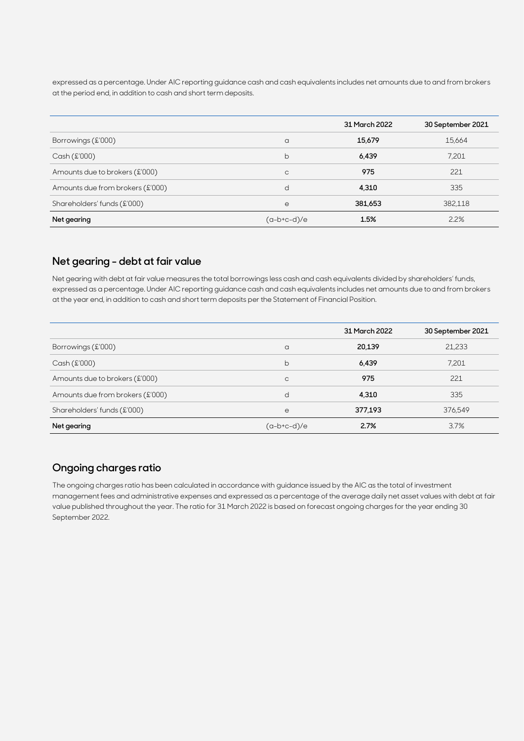expressed as a percentage. Under AIC reporting guidance cash and cash equivalents includes net amounts due to and from brokers at the period end, in addition to cash and short term deposits.

|                                  |             | 31 March 2022 | 30 September 2021 |
|----------------------------------|-------------|---------------|-------------------|
| Borrowings (£'000)               | a           | 15,679        | 15,664            |
| Cash(E'000)                      | b           | 6,439         | 7,201             |
| Amounts due to brokers (£'000)   | C           | 975           | 221               |
| Amounts due from brokers (£'000) | d           | 4,310         | 335               |
| Shareholders' funds (£'000)      | е           | 381,653       | 382,118           |
| Net gearing                      | (a-b+c-d)/e | 1.5%          | 2.2%              |

### **Net gearing - debt at fair value**

Net gearing with debt at fair value measures the total borrowings less cash and cash equivalents divided by shareholders' funds, expressed as a percentage. Under AIC reporting guidance cash and cash equivalents includes net amounts due to and from brokers at the year end, in addition to cash and short term deposits per the Statement of Financial Position.

|                                  |              | 31 March 2022 | 30 September 2021 |
|----------------------------------|--------------|---------------|-------------------|
| Borrowings (£'000)               | a            | 20,139        | 21,233            |
| Cash (£'000)                     | b            | 6,439         | 7,201             |
| Amounts due to brokers (£'000)   | $\mathsf{C}$ | 975           | 221               |
| Amounts due from brokers (£'000) | d            | 4.310         | 335               |
| Shareholders' funds (£'000)      | e            | 377,193       | 376,549           |
| Net gearing                      | (a-b+c-d)/e  | 2.7%          | 3.7%              |

### **Ongoing charges ratio**

The ongoing charges ratio has been calculated in accordance with guidance issued by the AIC as the total of investment management fees and administrative expenses and expressed as a percentage of the average daily net asset values with debt at fair value published throughout the year. The ratio for 31 March 2022 is based on forecast ongoing charges for the year ending 30 September 2022.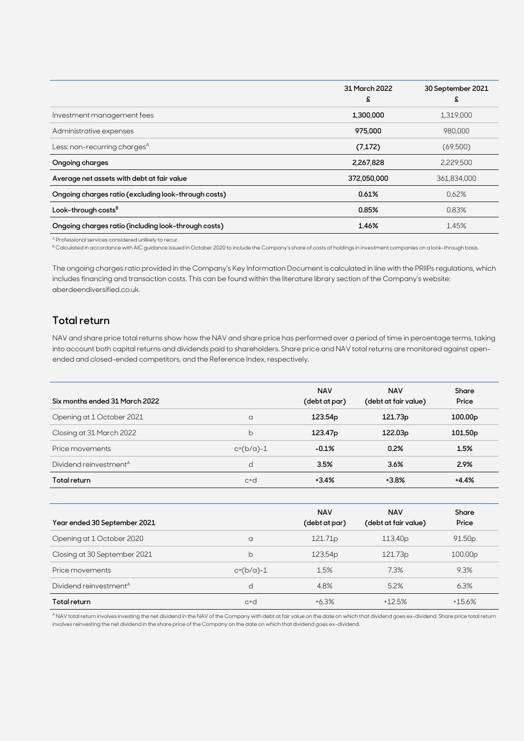|                                                      | 31 March 2022<br>£ | 30 September 2021<br>£ |
|------------------------------------------------------|--------------------|------------------------|
| Investment management fees                           | 1,300,000          | 1,319,000              |
| Administrative expenses                              | 975,000            | 980,000                |
| Less: non-recurring charges <sup>A</sup>             | (7,172)            | (69,500)               |
| Ongoing charges                                      | 2,267,828          | 2,229,500              |
| Average net assets with debt at fair value           | 372,050,000        | 361,834,000            |
| Ongoing charges ratio (excluding look-through costs) | 0.61%              | 0.62%                  |
| Look-through costs $B$                               | 0.85%              | 0.83%                  |
| Ongoing charges ratio (including look-through costs) | 1.46%              | 1.45%                  |

<sup>A</sup> Professional services considered unlikely to recur.

B Calculated in accordance with AIC guidance issued in October 2020 to include the Company's share of costs of holdings in investment companies on a look-through basis.

The ongoing charges ratio provided in the Company's Key Information Document is calculated in line with the PRIIPs regulations, which includes financing and transaction costs. This can be found within the literature library section of the Company's website: aberdeendiversified.co.uk.

### **Total return**

NAV and share price total returns show how the NAV and share price has performed over a period of time in percentage terms, taking into account both capital returns and dividends paid to shareholders. Share price and NAV total returns are monitored against openended and closed-ended competitors, and the Reference Index, respectively.

| Six months ended 31 March 2022     |             | <b>NAV</b><br>(debt at par) | <b>NAV</b><br>(debt at fair value) | Share<br>Price      |
|------------------------------------|-------------|-----------------------------|------------------------------------|---------------------|
| Opening at 1 October 2021          | a           | 123.54 <sub>p</sub>         | 121.73 <sub>p</sub>                | 100.00 <sub>p</sub> |
| Closing at 31 March 2022           | b           | 123.47 <sub>p</sub>         | 122.03 <sub>p</sub>                | 101.50 <sub>p</sub> |
| Price movements                    | $c=(b/a)-1$ | $-0.1%$                     | 0.2%                               | 1.5%                |
| Dividend reinvestment <sup>A</sup> | d           | 3.5%                        | 3.6%                               | 2.9%                |
| Total return                       | $c+d$       | $+3.4%$                     | $+3.8%$                            | $+4.4%$             |

| Year ended 30 September 2021       |             | <b>NAV</b><br>(debt at par) | <b>NAV</b><br>(debt at fair value) | Share<br>Price      |
|------------------------------------|-------------|-----------------------------|------------------------------------|---------------------|
| Opening at 1 October 2020          | a           | 121.71 <sub>p</sub>         | 113.40 <sub>p</sub>                | 91.50 <sub>p</sub>  |
| Closing at 30 September 2021       | b           | 123.54 <sub>p</sub>         | 121.73 <sub>p</sub>                | 100.00 <sub>p</sub> |
| Price movements                    | $c=(b/a)-1$ | 1.5%                        | 7.3%                               | 9.3%                |
| Dividend reinvestment <sup>A</sup> | d           | 4.8%                        | 5.2%                               | 6.3%                |
| Total return                       | $c+d$       | +6.3%                       | $+12.5%$                           | $+15.6%$            |

<sup>A</sup> NAV total return involves investing the net dividend in the NAV of the Company with debt at fair value on the date on which that dividend goes ex-dividend. Share price total return involves reinvesting the net dividend in the share price of the Company on the date on which that dividend goes ex-dividend.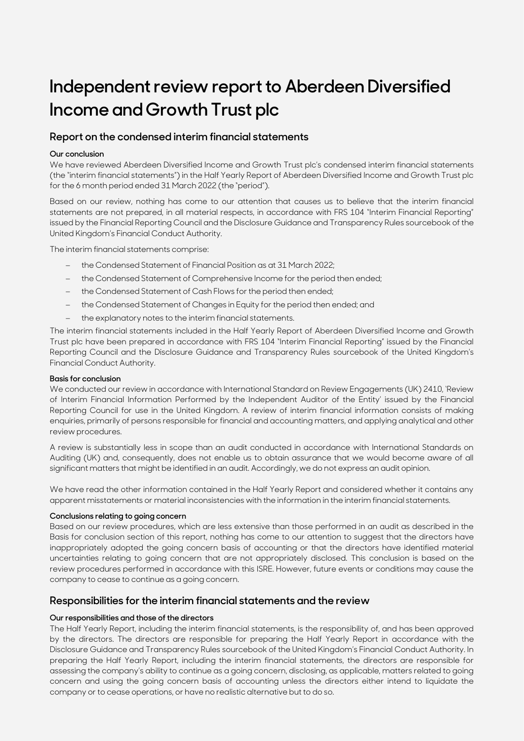# **Independent review report to Aberdeen Diversified Income and Growth Trust plc**

### **Report on the condensed interim financial statements**

#### **Our conclusion**

We have reviewed Aberdeen Diversified Income and Growth Trust plc's condensed interim financial statements (the "interim financial statements") in the Half Yearly Report of Aberdeen Diversified Income and Growth Trust plc for the 6 month period ended 31 March 2022 (the "period").

Based on our review, nothing has come to our attention that causes us to believe that the interim financial statements are not prepared, in all material respects, in accordance with FRS 104 "Interim Financial Reporting" issued by the Financial Reporting Council and the Disclosure Guidance and Transparency Rules sourcebook of the United Kingdom's Financial Conduct Authority.

The interim financial statements comprise:

- the Condensed Statement of Financial Position as at 31 March 2022;
- − the Condensed Statement of Comprehensive Income for the period then ended;
- the Condensed Statement of Cash Flows for the period then ended;
- the Condensed Statement of Changes in Equity for the period then ended; and
- − the explanatory notes to the interim financial statements.

The interim financial statements included in the Half Yearly Report of Aberdeen Diversified Income and Growth Trust plc have been prepared in accordance with FRS 104 "Interim Financial Reporting" issued by the Financial Reporting Council and the Disclosure Guidance and Transparency Rules sourcebook of the United Kingdom's Financial Conduct Authority.

#### **Basis for conclusion**

We conducted our review in accordance with International Standard on Review Engagements (UK) 2410, 'Review of Interim Financial Information Performed by the Independent Auditor of the Entity' issued by the Financial Reporting Council for use in the United Kingdom. A review of interim financial information consists of making enquiries, primarily of persons responsible for financial and accounting matters, and applying analytical and other review procedures.

A review is substantially less in scope than an audit conducted in accordance with International Standards on Auditing (UK) and, consequently, does not enable us to obtain assurance that we would become aware of all significant matters that might be identified in an audit. Accordingly, we do not express an audit opinion.

We have read the other information contained in the Half Yearly Report and considered whether it contains any apparent misstatements or material inconsistencies with the information in the interim financial statements.

#### **Conclusions relating to going concern**

Based on our review procedures, which are less extensive than those performed in an audit as described in the Basis for conclusion section of this report, nothing has come to our attention to suggest that the directors have inappropriately adopted the going concern basis of accounting or that the directors have identified material uncertainties relating to going concern that are not appropriately disclosed. This conclusion is based on the review procedures performed in accordance with this ISRE. However, future events or conditions may cause the company to cease to continue as a going concern.

### **Responsibilities for the interim financial statements and the review**

#### **Our responsibilities and those of the directors**

The Half Yearly Report, including the interim financial statements, is the responsibility of, and has been approved by the directors. The directors are responsible for preparing the Half Yearly Report in accordance with the Disclosure Guidance and Transparency Rules sourcebook of the United Kingdom's Financial Conduct Authority. In preparing the Half Yearly Report, including the interim financial statements, the directors are responsible for assessing the company's ability to continue as a going concern, disclosing, as applicable, matters related to going concern and using the going concern basis of accounting unless the directors either intend to liquidate the company or to cease operations, or have no realistic alternative but to do so.